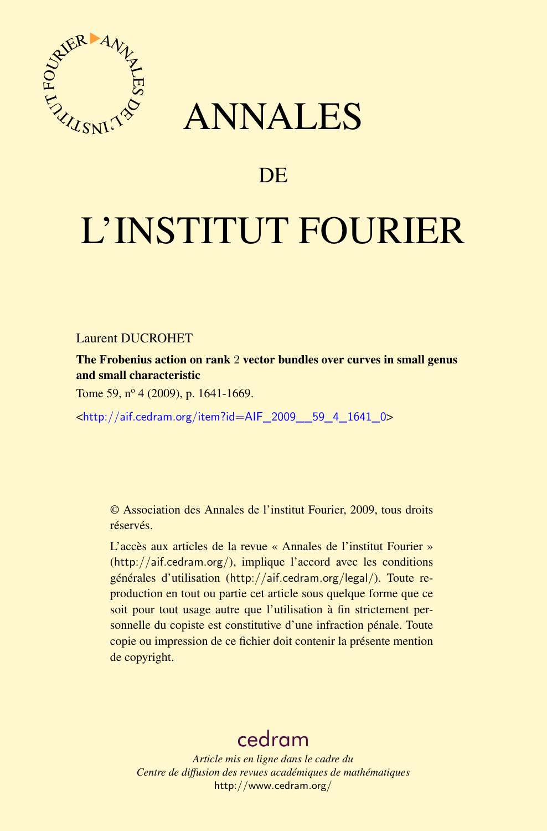

## ANNALES

## **DE**

# L'INSTITUT FOURIER

Laurent DUCROHET

The Frobenius action on rank 2 vector bundles over curves in small genus and small characteristic

Tome 59,  $n^{\circ}$  4 (2009), p. 1641-1669.

<[http://aif.cedram.org/item?id=AIF\\_2009\\_\\_59\\_4\\_1641\\_0](http://aif.cedram.org/item?id=AIF_2009__59_4_1641_0)>

© Association des Annales de l'institut Fourier, 2009, tous droits réservés.

L'accès aux articles de la revue « Annales de l'institut Fourier » (<http://aif.cedram.org/>), implique l'accord avec les conditions générales d'utilisation (<http://aif.cedram.org/legal/>). Toute reproduction en tout ou partie cet article sous quelque forme que ce soit pour tout usage autre que l'utilisation à fin strictement personnelle du copiste est constitutive d'une infraction pénale. Toute copie ou impression de ce fichier doit contenir la présente mention de copyright.

## [cedram](http://www.cedram.org/)

*Article mis en ligne dans le cadre du Centre de diffusion des revues académiques de mathématiques* <http://www.cedram.org/>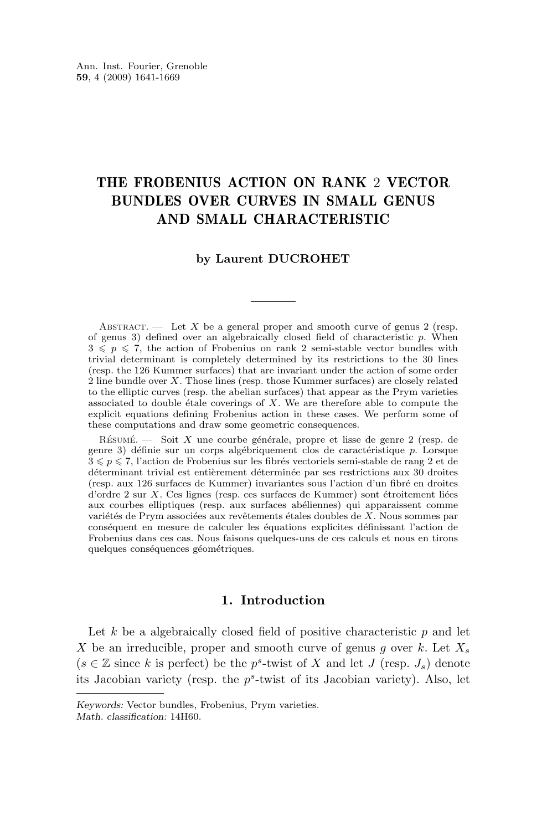## THE FROBENIUS ACTION ON RANK 2 VECTOR BUNDLES OVER CURVES IN SMALL GENUS AND SMALL CHARACTERISTIC

#### **by Laurent DUCROHET**

ABSTRACT. — Let X be a general proper and smooth curve of genus 2 (resp. of genus 3) defined over an algebraically closed field of characteristic  $p$ . When  $3 \leqslant p \leqslant 7$ , the action of Frobenius on rank 2 semi-stable vector bundles with trivial determinant is completely determined by its restrictions to the 30 lines (resp. the 126 Kummer surfaces) that are invariant under the action of some order  $2$  line bundle over X. Those lines (resp. those Kummer surfaces) are closely related to the elliptic curves (resp. the abelian surfaces) that appear as the Prym varieties associated to double étale coverings of X. We are therefore able to compute the explicit equations defining Frobenius action in these cases. We perform some of these computations and draw some geometric consequences.

Résumé. — Soit X une courbe générale, propre et lisse de genre 2 (resp. de genre 3) définie sur un corps algébriquement clos de caractéristique p. Lorsque  $3 \leqslant p \leqslant 7$ , l'action de Frobenius sur les fibrés vectoriels semi-stable de rang 2 et de déterminant trivial est entièrement déterminée par ses restrictions aux 30 droites (resp. aux 126 surfaces de Kummer) invariantes sous l'action d'un fibré en droites d'ordre 2 sur X. Ces lignes (resp. ces surfaces de Kummer) sont étroitement liées aux courbes elliptiques (resp. aux surfaces abéliennes) qui apparaissent comme variétés de Prym associées aux revêtements étales doubles de X. Nous sommes par conséquent en mesure de calculer les équations explicites définissant l'action de Frobenius dans ces cas. Nous faisons quelques-uns de ces calculs et nous en tirons quelques conséquences géométriques.

#### **1. Introduction**

Let  $k$  be a algebraically closed field of positive characteristic  $p$  and let X be an irreducible, proper and smooth curve of genus g over k. Let  $X_s$  $(s \in \mathbb{Z}$  since k is perfect) be the p<sup>s</sup>-twist of X and let J (resp.  $J_s$ ) denote its Jacobian variety (resp. the  $p^s$ -twist of its Jacobian variety). Also, let

*Keywords:* Vector bundles, Frobenius, Prym varieties. *Math. classification:* 14H60.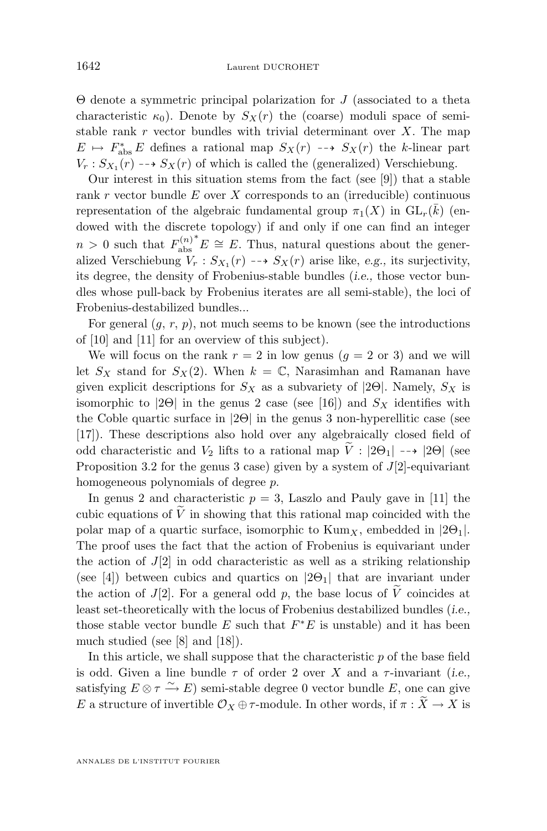Θ denote a symmetric principal polarization for J (associated to a theta characteristic  $\kappa_0$ ). Denote by  $S_X(r)$  the (coarse) moduli space of semistable rank  $r$  vector bundles with trivial determinant over  $X$ . The map  $E \rightarrow F_{\text{abs}}^* E$  defines a rational map  $S_X(r) \dashrightarrow S_X(r)$  the k-linear part  $V_r: S_{X_1}(r) \dashrightarrow S_X(r)$  of which is called the (generalized) Verschiebung.

Our interest in this situation stems from the fact (see [\[9\]](#page-28-0)) that a stable rank r vector bundle  $E$  over  $X$  corresponds to an (irreducible) continuous representation of the algebraic fundamental group  $\pi_1(X)$  in  $\mathrm{GL}_r(\overline{k})$  (endowed with the discrete topology) if and only if one can find an integer  $n > 0$  such that  $F_{\text{abs}}^{(n)}$ abs  $E \cong E$ . Thus, natural questions about the generalized Verschiebung  $V_r : S_{X_1}(r) \dashrightarrow S_X(r)$  arise like, *e.g.*, its surjectivity, its degree, the density of Frobenius-stable bundles (*i.e.,* those vector bundles whose pull-back by Frobenius iterates are all semi-stable), the loci of Frobenius-destabilized bundles...

For general  $(g, r, p)$ , not much seems to be known (see the introductions of [\[10\]](#page-28-0) and [\[11\]](#page-28-0) for an overview of this subject).

We will focus on the rank  $r = 2$  in low genus  $(q = 2 \text{ or } 3)$  and we will let  $S_X$  stand for  $S_X(2)$ . When  $k = \mathbb{C}$ , Narasimhan and Ramanan have given explicit descriptions for  $S_X$  as a subvariety of [2Θ]. Namely,  $S_X$  is isomorphic to  $|2\Theta|$  in the genus 2 case (see [\[16\]](#page-28-0)) and  $S_X$  identifies with the Coble quartic surface in |2Θ| in the genus 3 non-hyperellitic case (see [\[17\]](#page-28-0)). These descriptions also hold over any algebraically closed field of odd characteristic and  $V_2$  lifts to a rational map  $\tilde{V}$  :  $|2\Theta_1| \rightarrow |2\Theta|$  (see Proposition [3.2](#page-10-0) for the genus 3 case) given by a system of  $J[2]$ -equivariant homogeneous polynomials of degree p.

In genus 2 and characteristic  $p = 3$ , Laszlo and Pauly gave in [\[11\]](#page-28-0) the cubic equations of  $\tilde{V}$  in showing that this rational map coincided with the polar map of a quartic surface, isomorphic to  $Kum_X$ , embedded in  $|2\Theta_1|$ . The proof uses the fact that the action of Frobenius is equivariant under the action of  $J(2)$  in odd characteristic as well as a striking relationship (see [\[4\]](#page-28-0)) between cubics and quartics on  $|2\Theta_1|$  that are invariant under the action of  $J[2]$ . For a general odd p, the base locus of V coincides at least set-theoretically with the locus of Frobenius destabilized bundles (*i.e.,* those stable vector bundle  $E$  such that  $F^*E$  is unstable) and it has been much studied (see [\[8\]](#page-28-0) and [\[18\]](#page-28-0)).

In this article, we shall suppose that the characteristic  $p$  of the base field is odd. Given a line bundle  $\tau$  of order 2 over X and a  $\tau$ -invariant (*i.e.*, satisfying  $E \otimes \tau \xrightarrow{\sim} E$ ) semi-stable degree 0 vector bundle E, one can give E a structure of invertible  $\mathcal{O}_X \oplus \tau$ -module. In other words, if  $\pi : \widetilde{X} \to X$  is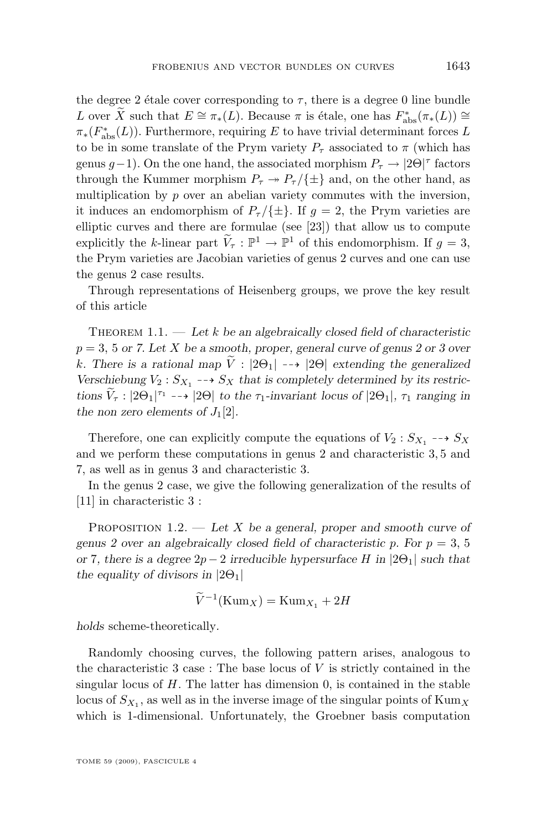<span id="page-3-0"></span>the degree 2 étale cover corresponding to  $\tau$ , there is a degree 0 line bundle L over  $\widetilde{X}$  such that  $E \cong \pi_*(L)$ . Because  $\pi$  is étale, one has  $F_{\text{abs}}^*(\pi_*(L)) \cong$  $\pi_*(F_{\text{abs}}^*(L))$ . Furthermore, requiring E to have trivial determinant forces L to be in some translate of the Prym variety  $P_{\tau}$  associated to  $\pi$  (which has genus  $g-1$ ). On the one hand, the associated morphism  $P_{\tau} \rightarrow |2\Theta|^{\tau}$  factors through the Kummer morphism  $P_{\tau} \rightarrow P_{\tau}/\{\pm\}$  and, on the other hand, as multiplication by  $p$  over an abelian variety commutes with the inversion, it induces an endomorphism of  $P_{\tau}/\{\pm\}$ . If  $g = 2$ , the Prym varieties are elliptic curves and there are formulae (see [\[23\]](#page-29-0)) that allow us to compute explicitly the k-linear part  $\widetilde{V}_{\tau} : \mathbb{P}^1 \to \mathbb{P}^1$  of this endomorphism. If  $g = 3$ , the Prym varieties are Jacobian varieties of genus 2 curves and one can use the genus 2 case results.

Through representations of Heisenberg groups, we prove the key result of this article

Theorem 1.1. — *Let* k *be an algebraically closed field of characteristic* p = 3, 5 *or 7. Let* X *be a smooth, proper, general curve of genus 2 or 3 over* k. There is a rational map  $\tilde{V}$  :  $|2\Theta_1| \longrightarrow |2\Theta|$  extending the generalized Verschiebung  $V_2$ :  $S_{X_1}$  -- $\rightarrow$   $S_X$  that is completely determined by its restric $tions \ \widetilde{V}_\tau : |2\Theta_1|^{\tau_1} \dashrightarrow |2\Theta| \ to \ the \ \tau_1\text{-invariant locus of } |2\Theta_1|, \ \tau_1 \text{ ranging in}$ *the non zero elements of*  $J_1[2]$ *.* 

Therefore, one can explicitly compute the equations of  $V_2: S_{X_1} \dashrightarrow S_X$ and we perform these computations in genus 2 and characteristic 3, 5 and 7, as well as in genus 3 and characteristic 3.

In the genus 2 case, we give the following generalization of the results of [\[11\]](#page-28-0) in characteristic 3 :

Proposition 1.2. — *Let* X *be a general, proper and smooth curve of genus 2 over an algebraically closed field of characteristic p. For*  $p = 3, 5$ *or* 7*, there is a degree* 2p − 2 *irreducible hypersurface* H *in* |2Θ1| *such that the equality of divisors in*  $|2\Theta_1|$ 

$$
\widetilde{V}^{-1}(\mathrm{Kum}_X) = \mathrm{Kum}_{X_1} + 2H
$$

*holds* scheme-theoretically*.*

Randomly choosing curves, the following pattern arises, analogous to the characteristic 3 case : The base locus of  $V$  is strictly contained in the singular locus of  $H$ . The latter has dimension 0, is contained in the stable locus of  $S_{X_1}$ , as well as in the inverse image of the singular points of  $\text{Kum}_X$ which is 1-dimensional. Unfortunately, the Groebner basis computation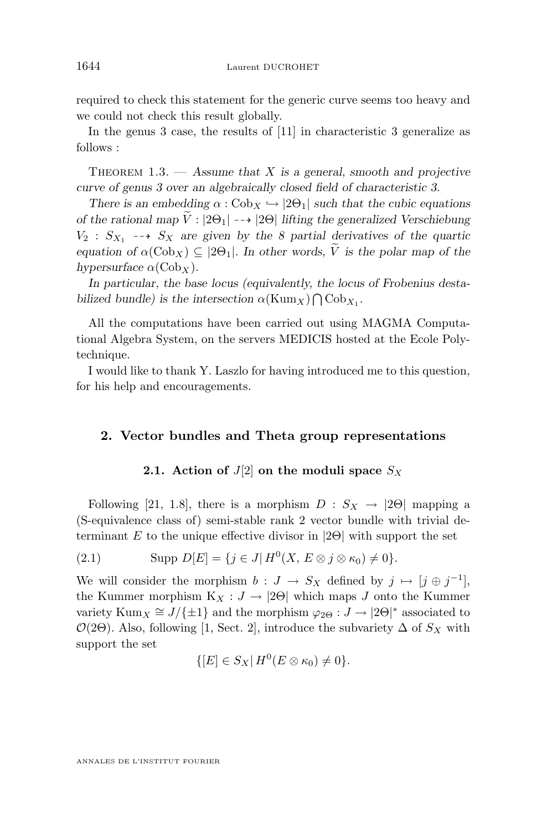<span id="page-4-0"></span>required to check this statement for the generic curve seems too heavy and we could not check this result globally.

In the genus 3 case, the results of [\[11\]](#page-28-0) in characteristic 3 generalize as follows :

Theorem 1.3. — *Assume that* X *is a general, smooth and projective curve of genus 3 over an algebraically closed field of characteristic 3.*

*There is an embedding*  $\alpha$  :  $Cob_X \hookrightarrow |2\Theta_1|$  *such that the cubic equations of the rational map*  $\tilde{V}$  :  $|2\Theta_1| \rightarrow |2\Theta|$  *lifting the generalized Verschiebung*  $V_2$  :  $S_{X_1} \dashrightarrow S_X$  are given by the 8 partial derivatives of the quartic *equation of*  $\alpha(\text{Cob}_X) \subseteq |2\Theta_1|$ *. In other words,*  $\widetilde{V}$  *is the polar map of the hypersurface*  $\alpha$ (Cob<sub>x</sub>).

*In particular, the base locus (equivalently, the locus of Frobenius destabilized bundle)* is the intersection  $\alpha(\text{Kum}_X) \bigcap \text{Cob}_{X_1}$ .

All the computations have been carried out using MAGMA Computational Algebra System, on the servers MEDICIS hosted at the Ecole Polytechnique.

I would like to thank Y. Laszlo for having introduced me to this question, for his help and encouragements.

#### **2. Vector bundles and Theta group representations**

#### **2.1.** Action of  $J[2]$  on the moduli space  $S_X$

Following [\[21,](#page-29-0) 1.8], there is a morphism  $D : S_X \to |2\Theta|$  mapping a (S-equivalence class of) semi-stable rank 2 vector bundle with trivial determinant E to the unique effective divisor in  $|2\Theta|$  with support the set

(2.1) 
$$
\text{Supp } D[E] = \{ j \in J | H^0(X, E \otimes j \otimes \kappa_0) \neq 0 \}.
$$

We will consider the morphism  $b: J \to S_X$  defined by  $j \mapsto [j \oplus j^{-1}],$ the Kummer morphism  $K_X : J \to |2\Theta|$  which maps J onto the Kummer variety  $\text{Kum}_X \cong J/\{\pm 1\}$  and the morphism  $\varphi_{2\Theta}: J \to |2\Theta|^*$  associated to  $\mathcal{O}(2\Theta)$ . Also, following [\[1,](#page-28-0) Sect. 2], introduce the subvariety  $\Delta$  of  $S_X$  with support the set

$$
\{[E] \in S_X | H^0(E \otimes \kappa_0) \neq 0\}.
$$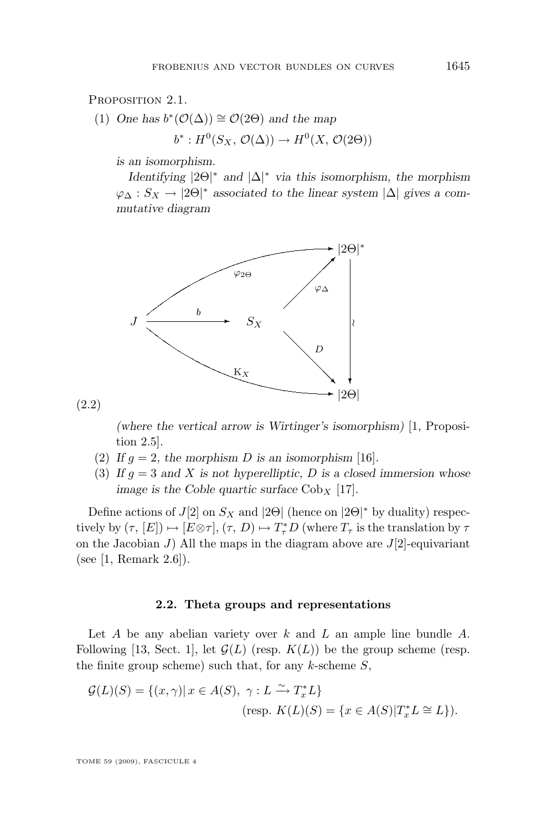PROPOSITION 2.1.

(1) One has 
$$
b^*(\mathcal{O}(\Delta)) \cong \mathcal{O}(2\Theta)
$$
 and the map

 $b^*: H^0(S_X, \mathcal{O}(\Delta)) \to H^0(X, \mathcal{O}(2\Theta))$ 

*is an isomorphism.*

*Identifying* |2Θ| <sup>∗</sup> *and* |∆| <sup>∗</sup> *via this isomorphism, the morphism*  $\varphi_{\Delta}: S_X \to |2\Theta|^*$  *associated to the linear system*  $|\Delta|$  *gives a commutative diagram*



(2.2)

*(where the vertical arrow is Wirtinger's isomorphism)* [\[1,](#page-28-0) Proposition 2.5]*.*

- (2) If  $g = 2$ , the morphism D is an isomorphism [\[16\]](#page-28-0).
- (3) If  $g = 3$  and X is not hyperelliptic, D is a closed immersion whose *image is the Coble quartic surface*  $Cob_X$  [\[17\]](#page-28-0)*.*

Define actions of  $J[2]$  on  $S_X$  and  $|2\Theta|$  (hence on  $|2\Theta|^*$  by duality) respectively by  $(\tau, [E]) \mapsto [E \otimes \tau], (\tau, D) \mapsto T^*_\tau D$  (where  $T_\tau$  is the translation by  $\tau$ on the Jacobian J) All the maps in the diagram above are  $J[2]$ -equivariant (see [\[1,](#page-28-0) Remark 2.6]).

#### **2.2. Theta groups and representations**

Let  $A$  be any abelian variety over  $k$  and  $L$  an ample line bundle  $A$ . Following [\[13,](#page-28-0) Sect. 1], let  $\mathcal{G}(L)$  (resp.  $K(L)$ ) be the group scheme (resp. the finite group scheme) such that, for any  $k$ -scheme  $S$ ,

$$
\mathcal{G}(L)(S) = \{(x, \gamma) | x \in A(S), \ \gamma : L \xrightarrow{\sim} T_x^* L \}
$$
  
(resp.  $K(L)(S) = \{ x \in A(S) | T_x^* L \cong L \}.$ )

TOME 59 (2009), FASCICULE 4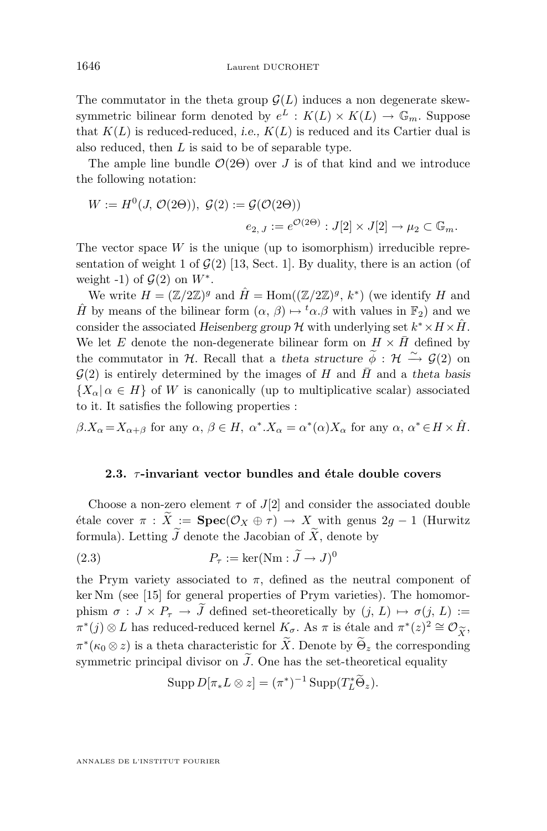The commutator in the theta group  $\mathcal{G}(L)$  induces a non degenerate skewsymmetric bilinear form denoted by  $e^L : K(L) \times K(L) \to \mathbb{G}_m$ . Suppose that  $K(L)$  is reduced-reduced, *i.e.*,  $K(L)$  is reduced and its Cartier dual is also reduced, then  $L$  is said to be of separable type.

The ample line bundle  $\mathcal{O}(2\Theta)$  over J is of that kind and we introduce the following notation:

$$
W := H^{0}(J, \mathcal{O}(2\Theta)), \ \mathcal{G}(2) := \mathcal{G}(\mathcal{O}(2\Theta))
$$

$$
e_{2, J} := e^{\mathcal{O}(2\Theta)} : J[2] \times J[2] \to \mu_{2} \subset \mathbb{G}_{m}.
$$

The vector space  $W$  is the unique (up to isomorphism) irreducible representation of weight 1 of  $\mathcal{G}(2)$  [\[13,](#page-28-0) Sect. 1]. By duality, there is an action (of weight -1) of  $\mathcal{G}(2)$  on  $W^*$ .

We write  $H = (\mathbb{Z}/2\mathbb{Z})^g$  and  $\hat{H} = \text{Hom}((\mathbb{Z}/2\mathbb{Z})^g, k^*)$  (we identify H and  $\hat{H}$  by means of the bilinear form  $(\alpha, \beta) \mapsto {}^t\alpha.\beta$  with values in  $\mathbb{F}_2$ ) and we consider the associated *Heisenberg group*  $\mathcal H$  with underlying set  $k^* \times H \times \hat H$ . We let E denote the non-degenerate bilinear form on  $H \times \bar{H}$  defined by the commutator in H. Recall that a *theta structure*  $\widetilde{\phi}$  : H  $\widetilde{\rightarrow}$  G(2) on  $\mathcal{G}(2)$  is entirely determined by the images of H and  $\bar{H}$  and a theta basis  ${X_\alpha|\alpha \in H}$  of W is canonically (up to multiplicative scalar) associated to it. It satisfies the following properties :

 $\beta.X_{\alpha} = X_{\alpha+\beta}$  for any  $\alpha, \beta \in H$ ,  $\alpha^* . X_{\alpha} = \alpha^*(\alpha)X_{\alpha}$  for any  $\alpha, \alpha^* \in H \times \hat{H}$ .

#### **2.3.** *τ*-invariant vector bundles and étale double covers

Choose a non-zero element  $\tau$  of  $J[2]$  and consider the associated double étale cover  $\pi$  :  $\widetilde{X}$  := **Spec**( $\mathcal{O}_X \oplus \tau$ )  $\rightarrow X$  with genus 2g – 1 (Hurwitz formula). Letting  $\widetilde{J}$  denote the Jacobian of  $\widetilde{X}$ , denote by

(2.3) 
$$
P_{\tau} := \ker(\text{Nm}: \widetilde{J} \to J)^0
$$

the Prym variety associated to  $\pi$ , defined as the neutral component of ker Nm (see [\[15\]](#page-28-0) for general properties of Prym varieties). The homomorphism  $\sigma : J \times P_{\tau} \to \tilde{J}$  defined set-theoretically by  $(j, L) \mapsto \sigma(j, L) :=$  $\pi^*(j) \otimes L$  has reduced-reduced kernel  $K_{\sigma}$ . As  $\pi$  is étale and  $\pi^*(z)^2 \cong \mathcal{O}_{\widetilde{X}},$ <br> $\pi^*(\kappa \otimes \gamma)$  is a theta characteristic for  $\widetilde{X}$ . Denote by  $\widetilde{\Theta}$  the corresponding  $\pi^*(\kappa_0 \otimes z)$  is a theta characteristic for  $\widetilde{X}$ . Denote by  $\widetilde{\Theta}_z$  the corresponding symmetric principal divisor on  $\tilde{J}$ . One has the set-theoretical equality

$$
\operatorname{Supp} D[\pi_* L \otimes z] = (\pi^*)^{-1} \operatorname{Supp}(T_L^* \widetilde{\Theta}_z).
$$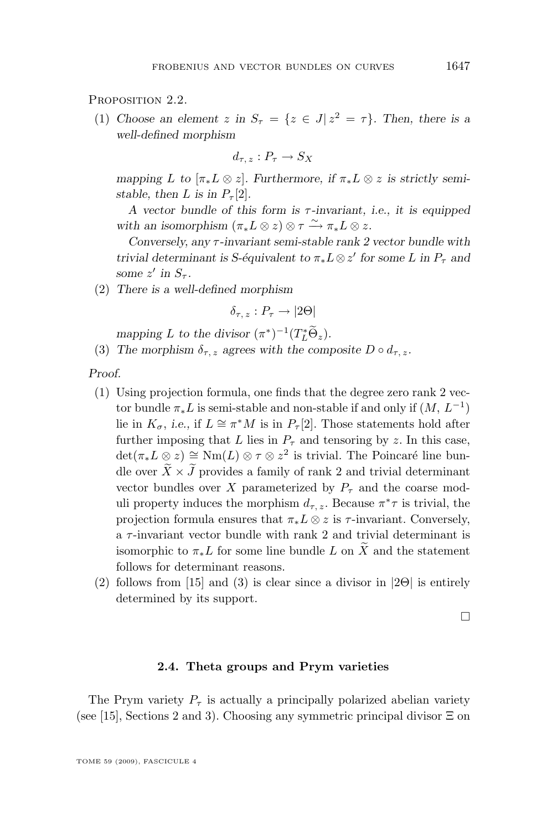PROPOSITION 2.2.

(1) Choose an element  $z$  in  $S_{\tau} = \{z \in J | z^2 = \tau\}$ . Then, there is a *well-defined morphism*

$$
d_{\tau, z}: P_{\tau} \to S_X
$$

*mapping* L to  $[\pi_* L \otimes z]$ . Furthermore, if  $\pi_* L \otimes z$  is strictly semi*stable, then L is in*  $P_\tau[2]$ *.* 

*A vector bundle of this form is* τ *-invariant, i.e., it is equipped* with an isomorphism  $(\pi_* L \otimes z) \otimes \tau \xrightarrow{\sim} \pi_* L \otimes z$ .

*Conversely, any* τ *-invariant semi-stable rank 2 vector bundle with trivial determinant is S-équivalent to*  $\pi_* L \otimes z'$  *for some* L *in*  $P_{\tau}$  *and some*  $z'$  *in*  $S_{\tau}$ *.* 

(2) *There is a well-defined morphism*

 $\delta_{\tau}$  ;  $P_{\tau} \rightarrow |2\Theta|$ 

*mapping L to the divisor*  $(\pi^*)^{-1}(T_L^*\Theta_z)$ *.* 

(3) The morphism  $\delta_{\tau,z}$  agrees with the composite  $D \circ d_{\tau,z}$ .

*Proof.*

- (1) Using projection formula, one finds that the degree zero rank 2 vector bundle  $\pi_* L$  is semi-stable and non-stable if and only if  $(M, L^{-1})$ lie in  $K_{\sigma}$ , *i.e.*, if  $L \cong \pi^*M$  is in  $P_{\tau}[2]$ . Those statements hold after further imposing that L lies in  $P<sub>\tau</sub>$  and tensoring by z. In this case,  $\det(\pi_* L \otimes z) \cong \text{Nm}(L) \otimes \tau \otimes z^2$  is trivial. The Poincaré line bundle over  $\overline{X}\times\overline{J}$  provides a family of rank 2 and trivial determinant vector bundles over X parameterized by  $P<sub>\tau</sub>$  and the coarse moduli property induces the morphism  $d_{\tau,z}$ . Because  $\pi^*\tau$  is trivial, the projection formula ensures that  $\pi_* L \otimes z$  is  $\tau$ -invariant. Conversely, a  $\tau$ -invariant vector bundle with rank 2 and trivial determinant is isomorphic to  $\pi_* L$  for some line bundle L on X and the statement follows for determinant reasons.
- (2) follows from [\[15\]](#page-28-0) and (3) is clear since a divisor in  $|2\Theta|$  is entirely determined by its support.

 $\Box$ 

#### **2.4. Theta groups and Prym varieties**

The Prym variety  $P_{\tau}$  is actually a principally polarized abelian variety (see [\[15\]](#page-28-0), Sections 2 and 3). Choosing any symmetric principal divisor  $\Xi$  on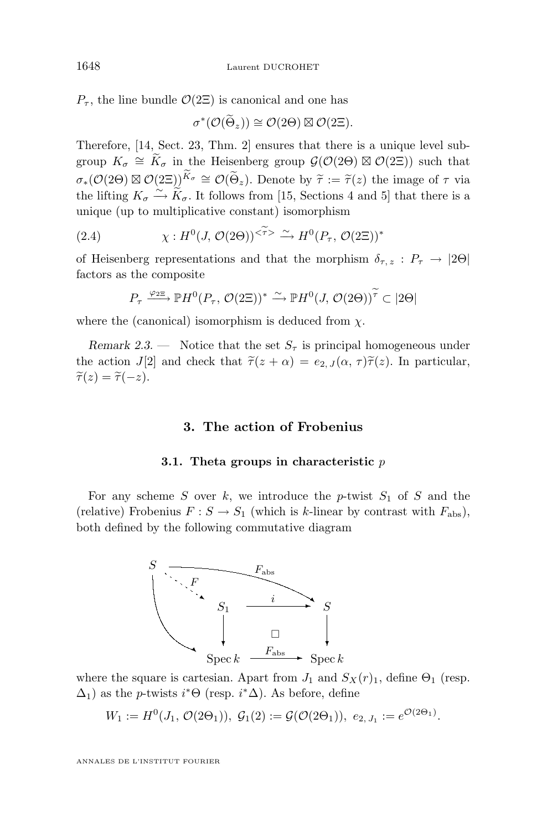$P_{\tau}$ , the line bundle  $\mathcal{O}(2\Xi)$  is canonical and one has

$$
\sigma^*(\mathcal{O}(\widetilde{\Theta}_z)) \cong \mathcal{O}(2\Theta) \boxtimes \mathcal{O}(2\Xi).
$$

Therefore, [\[14,](#page-28-0) Sect. 23, Thm. 2] ensures that there is a unique level subgroup  $K_{\sigma} \cong \widetilde{K}_{\sigma}$  in the Heisenberg group  $\mathcal{G}(\mathcal{O}(2\Theta) \boxtimes \mathcal{O}(2\Xi))$  such that  $\sigma_*(\mathcal{O}(2\Theta) \boxtimes \mathcal{O}(2\Xi))^{K_{\sigma}} \cong \mathcal{O}(\widetilde{\Theta}_z)$ . Denote by  $\widetilde{\tau} := \widetilde{\tau}(z)$  the image of  $\tau$  via<br>the lifting  $K \cong \widetilde{\kappa}$ . It follows from [15] Sections 4 and 5] that there is a the lifting  $K_{\sigma} \xrightarrow{\sim} \widetilde{K}_{\sigma}$ . It follows from [\[15,](#page-28-0) Sections 4 and 5] that there is a unique (up to multiplicative constant) isomorphism

(2.4) 
$$
\chi: H^0(J, \mathcal{O}(2\Theta))^{<\widetilde{\tau}>}\xrightarrow{\sim} H^0(P_\tau, \mathcal{O}(2\Xi))^*
$$

of Heisenberg representations and that the morphism  $\delta_{\tau,z}: P_{\tau} \to |2\Theta|$ factors as the composite

$$
P_{\tau} \xrightarrow{\varphi_{2\Xi}} \mathbb{P}H^{0}(P_{\tau}, \mathcal{O}(2\Xi))^{*} \xrightarrow{\sim} \mathbb{P}H^{0}(J, \mathcal{O}(2\Theta))^{\widetilde{\tau}} \subset |2\Theta|
$$

where the (canonical) isomorphism is deduced from  $\chi$ .

*Remark 2.3.* — Notice that the set  $S_{\tau}$  is principal homogeneous under the action J[2] and check that  $\tilde{\tau}(z + \alpha) = e_{2,J}(\alpha, \tau)\tilde{\tau}(z)$ . In particular,  $\widetilde{\tau}(z) = \widetilde{\tau}(-z).$ 

#### **3. The action of Frobenius**

#### **3.1. Theta groups in characteristic** p

For any scheme  $S$  over  $k$ , we introduce the p-twist  $S_1$  of  $S$  and the (relative) Frobenius  $F : S \to S_1$  (which is k-linear by contrast with  $F_{\text{abs}}$ ), both defined by the following commutative diagram



where the square is cartesian. Apart from  $J_1$  and  $S_X(r)_1$ , define  $\Theta_1$  (resp.  $\Delta_1$ ) as the *p*-twists  $i^*\Theta$  (resp.  $i^*\Delta$ ). As before, define

$$
W_1 := H^0(J_1, \mathcal{O}(2\Theta_1)), \mathcal{G}_1(2) := \mathcal{G}(\mathcal{O}(2\Theta_1)), e_{2, J_1} := e^{\mathcal{O}(2\Theta_1)}.
$$

O(2Θ1)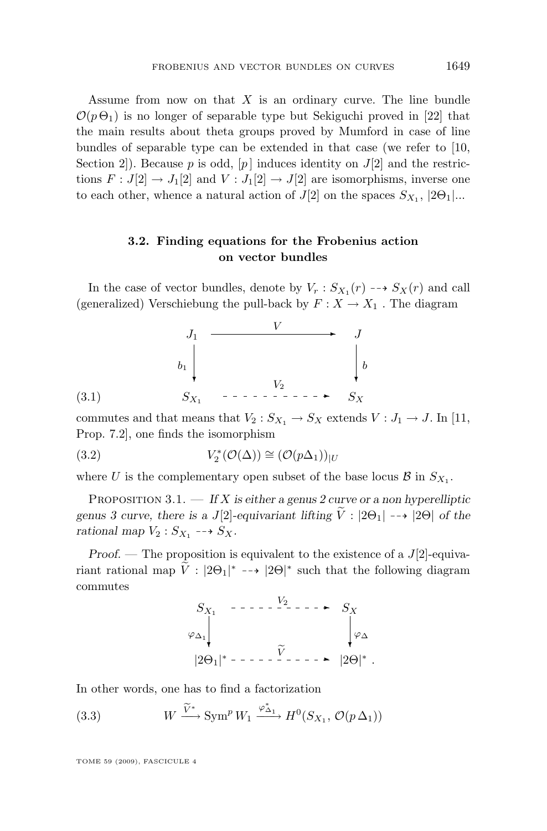<span id="page-9-0"></span>Assume from now on that  $X$  is an ordinary curve. The line bundle  $\mathcal{O}(p \Theta_1)$  is no longer of separable type but Sekiguchi proved in [\[22\]](#page-29-0) that the main results about theta groups proved by Mumford in case of line bundles of separable type can be extended in that case (we refer to [\[10,](#page-28-0) Section 2]). Because  $p$  is odd,  $[p]$  induces identity on  $J[2]$  and the restrictions  $F: J[2] \to J_1[2]$  and  $V: J_1[2] \to J[2]$  are isomorphisms, inverse one to each other, whence a natural action of  $J[2]$  on the spaces  $S_{X_1}$ ,  $|2\Theta_1|...$ 

#### **3.2. Finding equations for the Frobenius action on vector bundles**

In the case of vector bundles, denote by  $V_r : S_{X_1}(r) \dashrightarrow S_X(r)$  and call (generalized) Verschiebung the pull-back by  $F: X \to X_1$ . The diagram

$$
\begin{array}{ccc}\n & J_1 & \xrightarrow{V} & J \\
& b_1 & & & \downarrow \\
& & S_{X_1} & \cdots & \cdots & \cdots & S_X\n\end{array}
$$
\n
$$
(3.1)
$$

commutes and that means that  $V_2 : S_{X_1} \to S_X$  extends  $V : J_1 \to J$ . In [\[11,](#page-28-0) Prop. 7.2], one finds the isomorphism

(3.2) 
$$
V_2^*(\mathcal{O}(\Delta)) \cong (\mathcal{O}(p\Delta_1))_{|U}
$$

where U is the complementary open subset of the base locus  $\mathcal{B}$  in  $S_{X_1}$ .

Proposition 3.1. — *If* X *is either a genus 2 curve or a non hyperelliptic genus 3 curve, there is a J*[2]-equivariant lifting  $\tilde{V}$  :  $|2\Theta_1| \rightarrow |2\Theta|$  *of the* rational map  $V_2$ :  $S_{X_1}$  --+  $S_X$ .

*Proof.* — The proposition is equivalent to the existence of a J[2]-equivariant rational map  $\tilde{V}$ :  $|2\Theta_1|^* \dashrightarrow |2\Theta|^*$  such that the following diagram commutes

$$
S_{X_1} \longrightarrow \cdots \longrightarrow \begin{array}{c} V_2 \longrightarrow \cdots \longrightarrow S_X \\ \downarrow^{\varphi_{\Delta_1}} \\ |2\Theta_1|^* \longrightarrow \cdots \longrightarrow \begin{array}{c} \widetilde{V} \\ \downarrow^{\varphi_{\Delta}} \end{array} \longrightarrow |2\Theta|^* \end{array}.
$$

In other words, one has to find a factorization

(3.3) 
$$
W \xrightarrow{\widetilde{V}^*} \text{Sym}^p W_1 \xrightarrow{\varphi_{\Delta_1}^*} H^0(S_{X_1}, \mathcal{O}(p\,\Delta_1))
$$

TOME 59 (2009), FASCICULE 4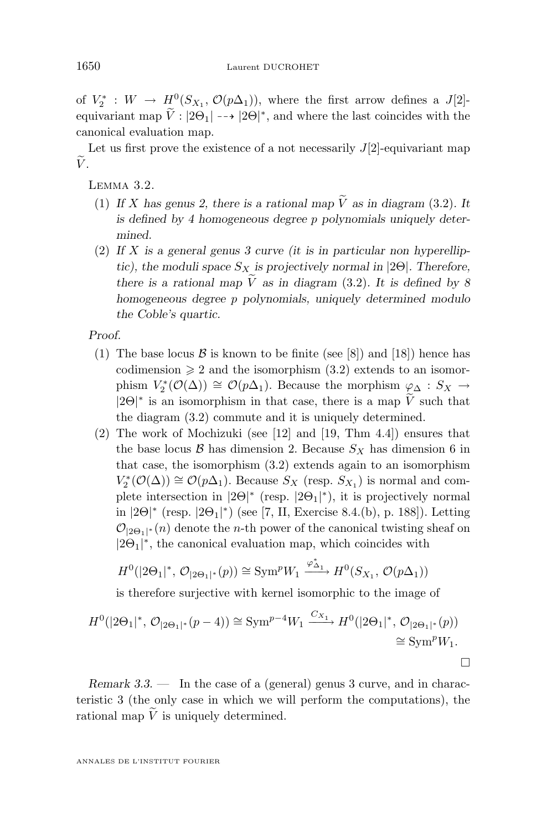<span id="page-10-0"></span>of  $V_2^*: W \to H^0(S_{X_1}, \mathcal{O}(p\Delta_1)),$  where the first arrow defines a  $J[2]$ equivariant map  $\tilde{V}: |2\Theta_1| \dashrightarrow |2\Theta|^*$ , and where the last coincides with the canonical evaluation map.

Let us first prove the existence of a not necessarily  $J[2]$ -equivariant map  $\widetilde{V}$ .

Lemma 3.2.

- (1) If X has genus 2, there is a rational map  $\tilde{V}$  as in diagram [\(3.2\)](#page-9-0). It *is defined by 4 homogeneous degree* p *polynomials uniquely determined.*
- (2) *If* X *is a general genus 3 curve (it is in particular non hyperelliptic), the moduli space*  $S_X$  *is projectively normal in* [2 $\Theta$ ]*. Therefore, there is a rational map*  $\widetilde{V}$  *as in diagram* [\(3.2\)](#page-9-0). It is defined by 8 *homogeneous degree* p *polynomials, uniquely determined modulo the Coble's quartic.*

*Proof.*

- (1) The base locus  $\beta$  is known to be finite (see [\[8\]](#page-28-0)) and [\[18\]](#page-28-0)) hence has codimension  $\geq 2$  and the isomorphism  $(3.2)$  extends to an isomorphism  $V_2^*(\mathcal{O}(\Delta)) \cong \mathcal{O}(p\Delta_1)$ . Because the morphism  $\varphi_{\Delta}: S_X \to$  $|2\Theta|^*$  is an isomorphism in that case, there is a map  $\hat{V}$  such that the diagram [\(3.2\)](#page-9-0) commute and it is uniquely determined.
- (2) The work of Mochizuki (see [\[12\]](#page-28-0) and [\[19,](#page-28-0) Thm 4.4]) ensures that the base locus  $\mathcal B$  has dimension 2. Because  $S_X$  has dimension 6 in that case, the isomorphism [\(3.2\)](#page-9-0) extends again to an isomorphism  $V_2^*(\mathcal{O}(\Delta)) \cong \mathcal{O}(p\Delta_1)$ . Because  $S_X$  (resp.  $S_{X_1}$ ) is normal and complete intersection in  $|2\Theta|^*$  (resp.  $|2\Theta_1|^*$ ), it is projectively normal in  $|2\Theta|^*$  (resp.  $|2\Theta_1|^*$ ) (see [\[7,](#page-28-0) II, Exercise 8.4.(b), p. 188]). Letting  $\mathcal{O}_{|2\Theta_1|^{*}}(n)$  denote the *n*-th power of the canonical twisting sheaf on  $|2\Theta_1|^*$ , the canonical evaluation map, which coincides with

$$
H^0(|2\Theta_1|^*, \mathcal{O}_{|2\Theta_1|^*}(p)) \cong \text{Sym}^p W_1 \xrightarrow{\varphi_{\Delta_1}^*} H^0(S_{X_1}, \mathcal{O}(p\Delta_1))
$$

is therefore surjective with kernel isomorphic to the image of

$$
H^{0}(|2\Theta_{1}|^{*}, \mathcal{O}_{|2\Theta_{1}|^{*}}(p-4)) \cong \text{Sym}^{p-4}W_{1} \xrightarrow{C_{X_{1}}} H^{0}(|2\Theta_{1}|^{*}, \mathcal{O}_{|2\Theta_{1}|^{*}}(p))
$$
  

$$
\cong \text{Sym}^{p}W_{1}.
$$

*Remark 3.3.* — In the case of a (general) genus 3 curve, and in characteristic 3 (the only case in which we will perform the computations), the rational map  $\tilde{V}$  is uniquely determined.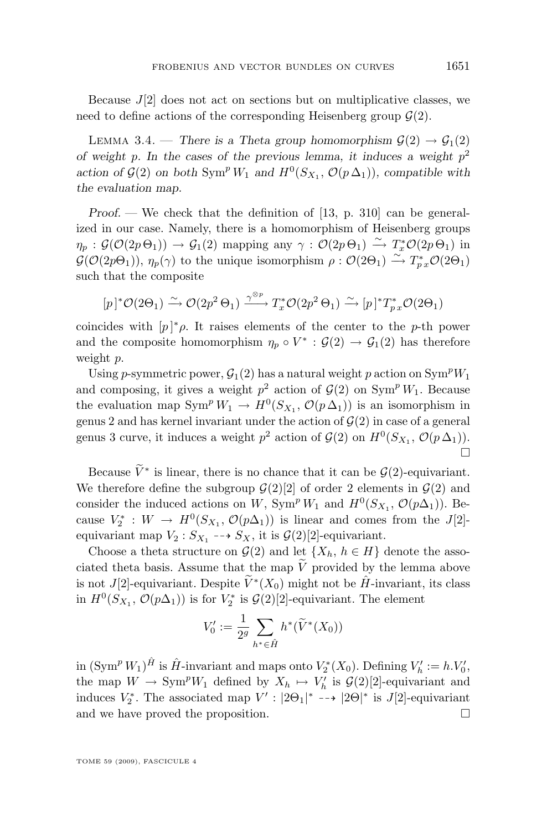<span id="page-11-0"></span>Because  $J[2]$  does not act on sections but on multiplicative classes, we need to define actions of the corresponding Heisenberg group  $\mathcal{G}(2)$ .

LEMMA 3.4. — *There is a Theta group homomorphism*  $\mathcal{G}(2) \rightarrow \mathcal{G}_1(2)$ *of weight* p*. In the cases of the previous lemma, it induces a weight* p 2 *action of*  $\mathcal{G}(2)$  *on both* Sym<sup>p</sup>  $W_1$  *and*  $H^0(S_{X_1}, \mathcal{O}(p \Delta_1))$ *, compatible with the evaluation map.*

*Proof. —* We check that the definition of [\[13,](#page-28-0) p. 310] can be generalized in our case. Namely, there is a homomorphism of Heisenberg groups  $\eta_p : \mathcal{G}(\mathcal{O}(2p\Theta_1)) \to \mathcal{G}_1(2)$  mapping any  $\gamma : \mathcal{O}(2p\Theta_1) \xrightarrow{\sim} T_x^*\mathcal{O}(2p\Theta_1)$  in  $\mathcal{G}(\mathcal{O}(2p\Theta_1)), \eta_p(\gamma)$  to the unique isomorphism  $\rho: \mathcal{O}(2\Theta_1) \xrightarrow{\sim} T^*_{px} \mathcal{O}(2\Theta_1)$ such that the composite

$$
[p]^* \mathcal{O}(2\Theta_1) \xrightarrow{\sim} \mathcal{O}(2p^2 \Theta_1) \xrightarrow{\gamma^{\otimes p}} T_x^* \mathcal{O}(2p^2 \Theta_1) \xrightarrow{\sim} [p]^* T_{p}^* \mathcal{O}(2\Theta_1)
$$

coincides with  $[p]^* \rho$ . It raises elements of the center to the p-th power and the composite homomorphism  $\eta_p \circ V^* : \mathcal{G}(2) \to \mathcal{G}_1(2)$  has therefore weight p.

Using p-symmetric power,  $G_1(2)$  has a natural weight p action on  $\text{Sym}^p W_1$ and composing, it gives a weight  $p^2$  action of  $\mathcal{G}(2)$  on Sym<sup>p</sup>  $W_1$ . Because the evaluation map  $\text{Sym}^p W_1 \to H^0(S_{X_1}, \mathcal{O}(p\Delta_1))$  is an isomorphism in genus 2 and has kernel invariant under the action of  $\mathcal{G}(2)$  in case of a general genus 3 curve, it induces a weight  $p^2$  action of  $\mathcal{G}(2)$  on  $H^0(S_{X_1}, \mathcal{O}(p\Delta_1)).$  $\Box$ 

Because  $\tilde{V}^*$  is linear, there is no chance that it can be  $\mathcal{G}(2)$ -equivariant. We therefore define the subgroup  $\mathcal{G}(2)[2]$  of order 2 elements in  $\mathcal{G}(2)$  and consider the induced actions on W, Sym<sup>p</sup> W<sub>1</sub> and  $H^0(S_{X_1}, \mathcal{O}(p\Delta_1))$ . Because  $V_2^* : W \to H^0(S_{X_1}, \mathcal{O}(p\Delta_1))$  is linear and comes from the J[2]equivariant map  $V_2: S_{X_1} \dashrightarrow S_X$ , it is  $\mathcal{G}(2)[2]$ -equivariant.

Choose a theta structure on  $\mathcal{G}(2)$  and let  $\{X_h, h \in H\}$  denote the associated theta basis. Assume that the map  $\tilde{V}$  provided by the lemma above is not J[2]-equivariant. Despite  $\widetilde{V}^*(X_0)$  might not be  $\hat{H}$ -invariant, its class in  $H^0(S_{X_1}, \mathcal{O}(p\Delta_1))$  is for  $V_2^*$  is  $\mathcal{G}(2)[2]$ -equivariant. The element

$$
V_0' := \frac{1}{2^g} \sum_{h^* \in \hat{H}} h^* (\widetilde{V}^*(X_0))
$$

in  $(\text{Sym}^p W_1)^\hat{H}$  is  $\hat{H}$ -invariant and maps onto  $V_2^*(X_0)$ . Defining  $V_h' := h.V_0'$ , the map  $W \to \text{Sym}^p W_1$  defined by  $X_h \mapsto V'_h$  is  $\mathcal{G}(2)[2]$ -equivariant and induces  $V_2^*$ . The associated map  $V'$ :  $|2\Theta_1|^* \dashrightarrow |2\Theta|^*$  is J[2]-equivariant and we have proved the proposition.  $\Box$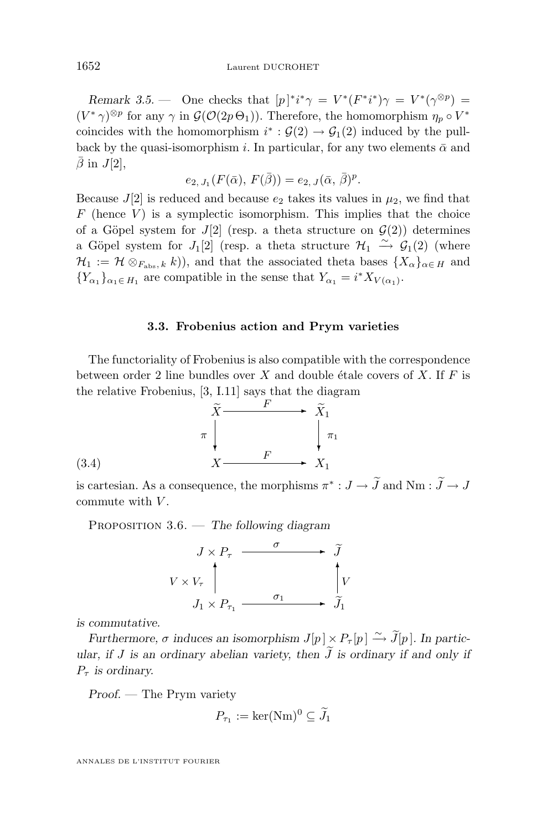<span id="page-12-0"></span>*Remark 3.5.* — One checks that  $[p]^*i^*\gamma = V^*(F^*i^*)\gamma = V^*(\gamma^{\otimes p})$  $(V^*\gamma)^{\otimes p}$  for any  $\gamma$  in  $\mathcal{G}(\mathcal{O}(2p\Theta_1))$ . Therefore, the homomorphism  $\eta_p \circ V^*$ coincides with the homomorphism  $i^*$ :  $\mathcal{G}(2) \rightarrow \mathcal{G}_1(2)$  induced by the pullback by the quasi-isomorphism i. In particular, for any two elements  $\bar{\alpha}$  and  $\bar{\beta}$  in  $J[2]$ ,

$$
e_{2, J_1}(F(\bar{\alpha}), F(\bar{\beta})) = e_{2, J}(\bar{\alpha}, \bar{\beta})^p.
$$

Because  $J[2]$  is reduced and because  $e_2$  takes its values in  $\mu_2$ , we find that  $F$  (hence  $V$ ) is a symplectic isomorphism. This implies that the choice of a Göpel system for  $J[2]$  (resp. a theta structure on  $\mathcal{G}(2)$ ) determines a Göpel system for  $J_1[2]$  (resp. a theta structure  $\mathcal{H}_1 \stackrel{\sim}{\rightarrow} \mathcal{G}_1(2)$  (where  $\mathcal{H}_1 := \mathcal{H} \otimes_{F_{\text{abs}}, k} k$ ), and that the associated theta bases  $\{X_{\alpha}\}_{{\alpha \in H}}$  and  ${Y_{\alpha_1}}_{\alpha_1 \in H_1}$  are compatible in the sense that  $Y_{\alpha_1} = i^* X_{V(\alpha_1)}$ .

#### **3.3. Frobenius action and Prym varieties**

The functoriality of Frobenius is also compatible with the correspondence between order 2 line bundles over X and double étale covers of X. If  $F$  is the relative Frobenius, [\[3,](#page-28-0) I.11] says that the diagram



$$
(3.4)
$$

is cartesian. As a consequence, the morphisms  $\pi^*: J \to \tilde{J}$  and  $Nm: \tilde{J} \to J$ commute with  $V$ .

Proposition 3.6. — *The following diagram*



*is commutative.*

*Furthermore,*  $\sigma$  *induces an isomorphism*  $J[p] \times P_{\tau}[p] \xrightarrow{\sim} \tilde{J}[p]$ *. In particular, if* J *is an ordinary abelian variety, then*  $\tilde{J}$  *is ordinary if and only if*  $P_{\tau}$  *is ordinary.* 

*Proof. —* The Prym variety

$$
P_{\tau_1} := \ker(\mathrm{Nm})^0 \subseteq \widetilde{J}_1
$$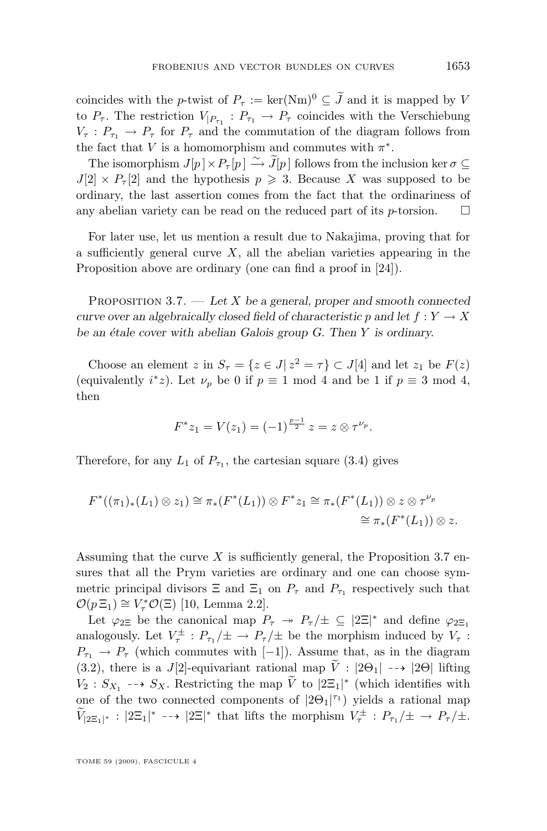<span id="page-13-0"></span>coincides with the *p*-twist of  $P_{\tau} := \ker(\text{Nm})^0 \subseteq \tilde{J}$  and it is mapped by V to  $P_{\tau}$ . The restriction  $V_{|P_{\tau_1}}: P_{\tau_1} \to P_{\tau}$  coincides with the Verschiebung  $V_{\tau}: P_{\tau_1} \to P_{\tau}$  for  $P_{\tau}$  and the commutation of the diagram follows from the fact that V is a homomorphism and commutes with  $\pi^*$ .

The isomorphism  $J[p] \times P_{\tau}[p] \xrightarrow{\sim} \widetilde{J}[p]$  follows from the inclusion ker  $\sigma \subseteq$  $J[2] \times P_{\tau}[2]$  and the hypothesis  $p \geq 3$ . Because X was supposed to be ordinary, the last assertion comes from the fact that the ordinariness of any abelian variety can be read on the reduced part of its  $p$ -torsion.  $\Box$ 

For later use, let us mention a result due to Nakajima, proving that for a sufficiently general curve  $X$ , all the abelian varieties appearing in the Proposition above are ordinary (one can find a proof in [\[24\]](#page-29-0)).

Proposition 3.7. — *Let* X *be a general, proper and smooth connected curve over an algebraically closed field of characteristic* p and let  $f: Y \to X$ *be an étale cover with abelian Galois group G. Then* Y *is ordinary.*

Choose an element z in  $S_{\tau} = \{z \in J | z^2 = \tau\} \subset J[4]$  and let  $z_1$  be  $F(z)$ (equivalently  $i^*z$ ). Let  $\nu_p$  be 0 if  $p \equiv 1 \mod 4$  and be 1 if  $p \equiv 3 \mod 4$ , then

$$
F^*z_1 = V(z_1) = (-1)^{\frac{p-1}{2}} z = z \otimes \tau^{\nu_p}.
$$

Therefore, for any  $L_1$  of  $P_{\tau_1}$ , the cartesian square [\(3.4\)](#page-12-0) gives

$$
F^*((\pi_1)_*(L_1)\otimes z_1)\cong \pi_*(F^*(L_1))\otimes F^*z_1\cong \pi_*(F^*(L_1))\otimes z\otimes \tau^{\nu_p}
$$
  

$$
\cong \pi_*(F^*(L_1))\otimes z.
$$

Assuming that the curve  $X$  is sufficiently general, the Proposition 3.7 ensures that all the Prym varieties are ordinary and one can choose symmetric principal divisors  $\Xi$  and  $\Xi_1$  on  $P_\tau$  and  $P_{\tau_1}$  respectively such that  $\mathcal{O}(p \, \Xi_1) \cong V^*_{\tau} \mathcal{O}(\Xi)$  [\[10,](#page-28-0) Lemma 2.2].

Let  $\varphi_{2\Xi}$  be the canonical map  $P_{\tau} \to P_{\tau}/\pm \subseteq |2\Xi|^*$  and define  $\varphi_{2\Xi_1}$ analogously. Let  $V^{\pm}_{\tau}: P_{\tau_1}/\pm \rightarrow P_{\tau}/\pm$  be the morphism induced by  $V_{\tau}$ :  $P_{\tau_1} \to P_{\tau}$  (which commutes with [−1]). Assume that, as in the diagram [\(3.2\)](#page-9-0), there is a J[2]-equivariant rational map  $\tilde{V}$  :  $|2\Theta_1| \rightarrow |2\Theta|$  lifting  $V_2$ :  $S_{X_1}$  -->  $S_X$ . Restricting the map  $\tilde{V}$  to  $|2\Xi_1|^*$  (which identifies with one of the two connected components of  $|2\Theta_1|^{\tau_1}$  yields a rational map  $\widetilde{V}_{[2\Xi_1]^*}: |2\Xi_1|^* \dashrightarrow |2\Xi|^*$  that lifts the morphism  $V^{\pm}_{\tau}: P_{\tau_1}/\pm \rightarrow P_{\tau}/\pm$ .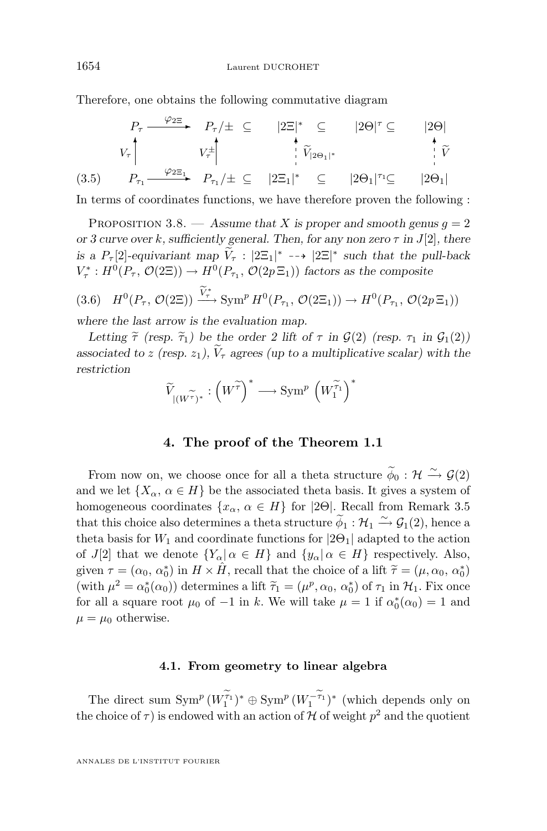Therefore, one obtains the following commutative diagram

$$
P_{\tau} \xrightarrow{\varphi_{2\Xi}} P_{\tau}/\pm \subseteq |2\Xi|^{*} \subseteq |2\Theta|^{\tau} \subseteq |2\Theta|
$$
\n
$$
V_{\tau} \qquad V_{\tau}^{\pm} \qquad V_{\tau}^{\pm} \qquad V_{\tau}^{\pm} \qquad V_{\tau}^{\pm} \qquad V_{\tau}^{\pm} \qquad V_{\tau}^{\pm} \qquad V_{\tau}^{\pm} \qquad V_{\tau}^{\pm} \qquad V_{\tau}^{\pm} \qquad V_{\tau}^{\pm} \qquad V_{\tau}^{\pm} \qquad V_{\tau}^{\pm} \qquad V_{\tau}^{\pm} \qquad V_{\tau}^{\pm} \qquad V_{\tau}^{\pm} \qquad V_{\tau}^{\pm} \qquad V_{\tau}^{\pm} \qquad V_{\tau}^{\pm} \qquad V_{\tau}^{\pm} \qquad V_{\tau}^{\pm} \qquad V_{\tau}^{\pm} \qquad V_{\tau}^{\pm} \qquad V_{\tau}^{\pm} \qquad V_{\tau}^{\pm} \qquad V_{\tau}^{\pm} \qquad V_{\tau}^{\pm} \qquad V_{\tau}^{\pm} \qquad V_{\tau}^{\pm} \qquad V_{\tau}^{\pm} \qquad V_{\tau}^{\pm} \qquad V_{\tau}^{\pm} \qquad V_{\tau}^{\pm} \qquad V_{\tau}^{\pm} \qquad V_{\tau}^{\pm} \qquad V_{\tau}^{\pm} \qquad V_{\tau}^{\pm} \qquad V_{\tau}^{\pm} \qquad V_{\tau}^{\pm} \qquad V_{\tau}^{\pm} \qquad V_{\tau}^{\pm} \qquad V_{\tau}^{\pm} \qquad V_{\tau}^{\pm} \qquad V_{\tau}^{\pm} \qquad V_{\tau}^{\pm} \qquad V_{\tau}^{\pm} \qquad V_{\tau}^{\pm} \qquad V_{\tau}^{\pm} \qquad V_{\tau}^{\pm} \qquad V_{\tau}^{\pm} \qquad V_{\tau}^{\pm} \qquad V_{\tau}^{\pm} \qquad V_{\tau}^{\pm} \qquad V_{\tau}^{\pm} \qquad V_{\tau}^{\pm} \qquad V_{\tau}^{\pm} \qquad V_{\tau}^{\pm} \qquad V_{\tau}^{\pm} \qquad V_{\tau}^{\
$$

In terms of coordinates functions, we have therefore proven the following :

PROPOSITION 3.8. — Assume that X is proper and smooth genus  $q = 2$ *or 3 curve over* k*, sufficiently general. Then, for any non zero* τ *in* J[2]*, there is a*  $P_{\tau}[2]$ -equivariant map  $\widetilde{V}_{\tau}$  :  $|2\Xi_1|^*$  -->  $|2\Xi|^*$  such that the pull-back  $V^*_{\tau}: H^0(P_{\tau}, \mathcal{O}(2\Xi)) \to H^0(P_{\tau_1}, \mathcal{O}(2p\Xi_1))$  factors as the composite

$$
(3.6) \quad H^0(P_\tau, \mathcal{O}(2\Xi)) \xrightarrow{V^*} \text{Sym}^p H^0(P_{\tau_1}, \mathcal{O}(2\Xi_1)) \to H^0(P_{\tau_1}, \mathcal{O}(2p\Xi_1))
$$

*where the last arrow is the evaluation map.*

*Letting*  $\tilde{\tau}$  *(resp.*  $\tilde{\tau}_1$ *)* be the order 2 lift of  $\tau$  in  $\mathcal{G}(2)$  (resp.  $\tau_1$  in  $\mathcal{G}_1(2)$ ) *associated to* z (resp.  $z_1$ ),  $\widetilde{V}_\tau$  agrees (up to a multiplicative scalar) with the *restriction*

$$
\widetilde{V}_{|(W\widetilde{\tau})^*}: \left(W\widetilde{\tau}\right)^* \longrightarrow \operatorname{Sym}^p\left(W_1\widetilde{\tau}_1\right)^*
$$

#### **4. The proof of the Theorem [1.1](#page-3-0)**

From now on, we choose once for all a theta structure  $\widetilde{\phi}_0 : \mathcal{H} \xrightarrow{\sim} \mathcal{G}(2)$ and we let  $\{X_\alpha, \alpha \in H\}$  be the associated theta basis. It gives a system of homogeneous coordinates  $\{x_\alpha, \alpha \in H\}$  for [2Θ]. Recall from Remark [3.5](#page-11-0) that this choice also determines a theta structure  $\widetilde{\phi}_1 : \mathcal{H}_1 \xrightarrow{\sim} \mathcal{G}_1(2)$ , hence a theta basis for  $W_1$  and coordinate functions for  $|2\Theta_1|$  adapted to the action of J[2] that we denote  ${Y_\alpha | \alpha \in H}$  and  ${y_\alpha | \alpha \in H}$  respectively. Also, given  $\tau = (\alpha_0, \alpha_0^*)$  in  $H \times \hat{H}$ , recall that the choice of a lift  $\tilde{\tau} = (\mu, \alpha_0, \alpha_0^*)$ <br>(with  $\alpha_0^2 = \alpha^*(\alpha_0)$ ) determines a lift  $\tilde{\tau} = (\mu_0^0, \alpha_0^*)$  of  $\tau$  in  $\mathcal{H}$ . Fix and  $(\text{with } \mu^2 = \alpha_0^*(\alpha_0))$  determines a lift  $\tilde{\tau}_1 = (\mu^p, \alpha_0, \alpha_0^*)$  of  $\tau_1$  in  $\mathcal{H}_1$ . Fix once for all a square root  $\mu_0$  of  $-1$  in k. We will take  $\mu = 1$  if  $\alpha_0^*(\alpha_0) = 1$  and  $\mu = \mu_0$  otherwise.

#### **4.1. From geometry to linear algebra**

The direct sum  $\text{Sym}^p (W_1^{\tau_1})^* \oplus \text{Sym}^p (W_1^{-\tau_1})^*$  (which depends only on the choice of  $\tau$ ) is endowed with an action of H of weight  $p^2$  and the quotient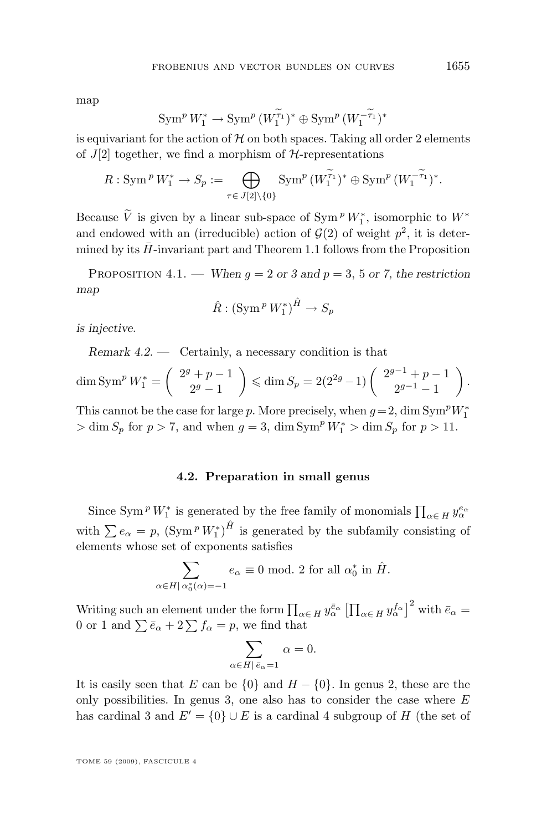<span id="page-15-0"></span>map

$$
\operatorname{Sym}^p W_1^* \to \operatorname{Sym}^p \big(W_1^{\widetilde{\tau}_1}\big)^* \oplus \operatorname{Sym}^p \big(W_1^{-\widetilde{\tau}_1}\big)^*
$$

is equivariant for the action of  $H$  on both spaces. Taking all order 2 elements of  $J[2]$  together, we find a morphism of  $H$ -representations

$$
R: \operatorname{Sym}^p W_1^* \to S_p := \bigoplus_{\tau \in J[2] \setminus \{0\}} \operatorname{Sym}^p (W_1^{\tau_1})^* \oplus \operatorname{Sym}^p (W_1^{-\tau_1})^*.
$$

Because  $\tilde{V}$  is given by a linear sub-space of  $\text{Sym}^p W_1^*$ , isomorphic to  $W^*$ and endowed with an (irreducible) action of  $\mathcal{G}(2)$  of weight  $p^2$ , it is determined by its  $H$ -invariant part and Theorem [1.1](#page-3-0) follows from the Proposition

PROPOSITION 4.1. — *When*  $q = 2$  or 3 and  $p = 3$ , 5 or 7, the restriction *map*

$$
\hat{R}: (\operatorname{Sym}^p W_1^*)^{\hat{H}} \to S_p
$$

*is injective.*

*Remark 4.2. —* Certainly, a necessary condition is that

$$
\dim \operatorname{Sym}^p W_1^* = \left( \begin{array}{c} 2^g + p - 1 \\ 2^g - 1 \end{array} \right) \leqslant \dim S_p = 2(2^{2g} - 1) \left( \begin{array}{c} 2^{g-1} + p - 1 \\ 2^{g-1} - 1 \end{array} \right).
$$

This cannot be the case for large p. More precisely, when  $g = 2$ , dim Sym<sup>p</sup>W<sub>1</sub><sup>\*</sup>  $> \dim S_p$  for  $p > 7$ , and when  $g = 3$ ,  $\dim \text{Sym}^p W_1^* > \dim S_p$  for  $p > 11$ .

#### **4.2. Preparation in small genus**

Since Sym<sup>*P*</sup>  $W_1^*$  is generated by the free family of monomials  $\prod_{\alpha \in H} y_{\alpha}^{e_{\alpha}}$ with  $\sum e_{\alpha} = p$ ,  $(\text{Sym}^p W_1^*)^{\hat{H}}$  is generated by the subfamily consisting of elements whose set of exponents satisfies

$$
\sum_{\alpha \in H | \alpha_0^*(\alpha) = -1} e_{\alpha} \equiv 0 \text{ mod. } 2 \text{ for all } \alpha_0^* \text{ in } \hat{H}.
$$

Writing such an element under the form  $\prod_{\alpha \in H} y_\alpha^{\bar{e}_\alpha} \left[ \prod_{\alpha \in H} y_\alpha^{f_\alpha} \right]^2$  with  $\bar{e}_\alpha =$ 0 or 1 and  $\sum \bar{e}_{\alpha} + 2\sum f_{\alpha} = p$ , we find that

$$
\sum_{\alpha \in H \mid \bar{e}_{\alpha}=1} \alpha = 0.
$$

It is easily seen that E can be  $\{0\}$  and  $H - \{0\}$ . In genus 2, these are the only possibilities. In genus 3, one also has to consider the case where  $E$ has cardinal 3 and  $E' = \{0\} \cup E$  is a cardinal 4 subgroup of H (the set of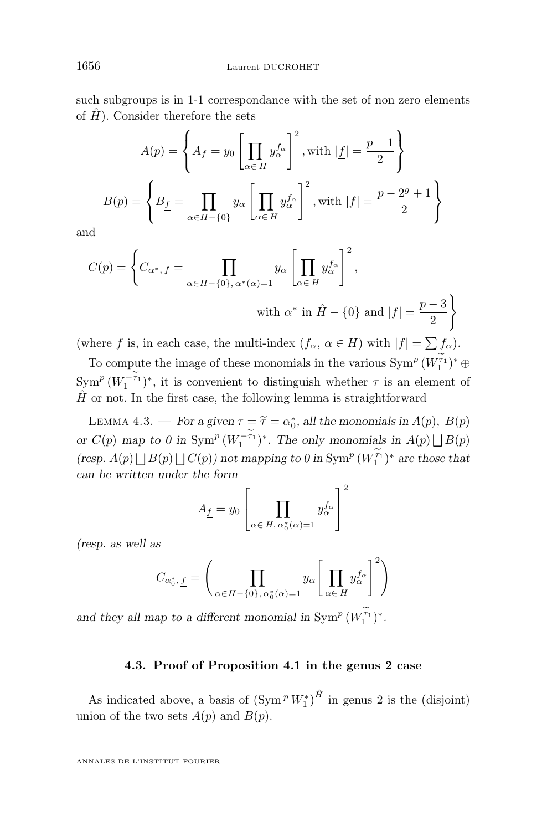<span id="page-16-0"></span>such subgroups is in 1-1 correspondance with the set of non zero elements of  $\hat{H}$ ). Consider therefore the sets

$$
A(p) = \left\{ A_{\underline{f}} = y_0 \left[ \prod_{\alpha \in H} y_{\alpha}^{f_{\alpha}} \right]^2, \text{with } |\underline{f}| = \frac{p-1}{2} \right\}
$$

$$
B(p) = \left\{ B_{\underline{f}} = \prod_{\alpha \in H - \{0\}} y_{\alpha} \left[ \prod_{\alpha \in H} y_{\alpha}^{f_{\alpha}} \right]^2, \text{with } |\underline{f}| = \frac{p-2^g+1}{2} \right\}
$$

and

$$
C(p) = \left\{ C_{\alpha^*, \underline{f}} = \prod_{\alpha \in H - \{0\}, \alpha^*(\alpha) = 1} y_{\alpha} \left[ \prod_{\alpha \in H} y_{\alpha}^{f_{\alpha}} \right]^2,
$$
  
with  $\alpha^*$  in  $\hat{H} - \{0\}$  and  $|\underline{f}| = \frac{p-3}{2} \right\}$ 

(where f is, in each case, the multi-index  $(f_{\alpha}, \alpha \in H)$  with  $|f| = \sum f_{\alpha}$ ).

To compute the image of these monomials in the various  $\text{Sym}^p (W_1^{\tau_1})^* \oplus$  $\operatorname{Sym}^p(W_1^{-\tau_1})^*$ , it is convenient to distinguish whether  $\tau$  is an element of  $\hat{H}$  or not. In the first case, the following lemma is straightforward

LEMMA 4.3. — *For a given*  $\tau = \tilde{\tau} = \alpha_0^*$ , all the monomials in  $A(p)$ ,  $B(p)$ or  $C(p)$  map to 0 in  $\text{Sym}^p (W_1^{-\tau_1})^*$ . The only monomials in  $A(p) \bigsqcup B(p)$ (*resp.*  $A(p) \bigsqcup B(p) \bigsqcup C(p)$ *)* not mapping to 0 in  $\text{Sym}^p (W_1^{\tau_1})^*$  are those that *can be written under the form*

$$
A_{\underline{f}}=y_0\left[\prod_{\alpha\in\,H,\,\alpha_0^*(\alpha)=1}y_\alpha^{f_\alpha}\right]^2
$$

*(resp. as well as*

$$
C_{\alpha_0^*, \underline{f}} = \left(\prod_{\alpha \in H - \{0\}, \alpha_0^*(\alpha) = 1} y_\alpha \left[\prod_{\alpha \in H} y_\alpha^{f_\alpha}\right]^2\right)
$$

and they all map to a different monomial in  $\text{Sym}^p (W_1^{\tau_1})^*$ .

#### **4.3. Proof of Proposition [4.1](#page-15-0) in the genus 2 case**

As indicated above, a basis of  $(\text{Sym} \,^p W_1^*)^{\hat{H}}$  in genus 2 is the (disjoint) union of the two sets  $A(p)$  and  $B(p)$ .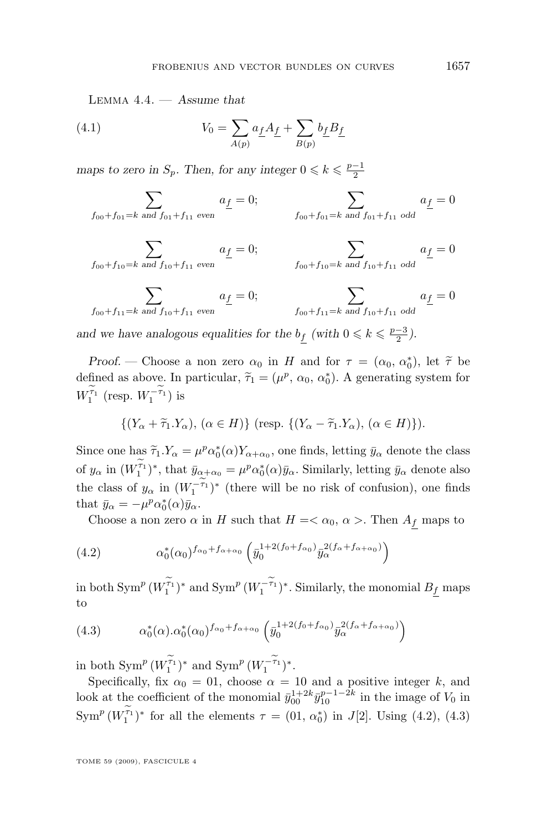Lemma 4.4. — *Assume that*

(4.1) 
$$
V_0 = \sum_{A(p)} a_{\underline{f}} A_{\underline{f}} + \sum_{B(p)} b_{\underline{f}} B_{\underline{f}}
$$

*maps to zero in*  $S_p$ *. Then, for any integer*  $0 \le k \le \frac{p-1}{2}$ 

$$
\sum_{f_{00}+f_{01}=k \text{ and } f_{01}+f_{11} \text{ even}} a_{\underline{f}} = 0; \qquad \sum_{f_{00}+f_{01}=k \text{ and } f_{01}+f_{11} \text{ odd}} a_{\underline{f}} = 0
$$

$$
\sum_{f_{00}+f_{10}=k \text{ and } f_{10}+f_{11} \text{ even}} a_{\underline{f}} = 0; \qquad \sum_{f_{00}+f_{10}=k \text{ and } f_{10}+f_{11} \text{ odd}} a_{\underline{f}} = 0
$$
\n
$$
\sum_{f_{00}+f_{11}=k \text{ and } f_{10}+f_{11} \text{ even}} a_{\underline{f}} = 0; \qquad \sum_{f_{00}+f_{11}=k \text{ and } f_{10}+f_{11} \text{ odd}} a_{\underline{f}} = 0
$$

and we have analogous equalities for the  $b_f$  (with  $0 \le k \le \frac{p-3}{2}$ ).

*Proof.* — Choose a non zero  $\alpha_0$  in *H* and for  $\tau = (\alpha_0, \alpha_0^*)$ , let  $\tilde{\tau}$  be fined as above. In particular  $\tilde{\tau} = (\mu^p, \alpha_0, \alpha_0^*)$ , A concepting gyptom for defined as above. In particular,  $\tilde{\tau}_1 = (\mu^p, \alpha_0, \alpha_0^*)$ . A generating system for  $W_1^{\tau_1}$  (resp.  $W_1^{-\tau_1}$ ) is

$$
\{(Y_{\alpha} + \widetilde{\tau}_1.Y_{\alpha}), (\alpha \in H)\} \text{ (resp. } \{(Y_{\alpha} - \widetilde{\tau}_1.Y_{\alpha}), (\alpha \in H)\}).
$$

Since one has  $\tilde{\tau}_1 \cdot Y_\alpha = \mu^p \alpha_0^*(\alpha) Y_{\alpha+\alpha_0}$ , one finds, letting  $\bar{y}_\alpha$  denote the class of  $y_\alpha$  in  $(W_1^{\tau_1})^*$ , that  $\bar{y}_{\alpha+\alpha_0} = \mu^p \alpha_0^*(\alpha) \bar{y}_\alpha$ . Similarly, letting  $\bar{y}_\alpha$  denote also the class of  $y_\alpha$  in  $(W_1^{-\tau_1})^*$  (there will be no risk of confusion), one finds that  $\bar{y}_{\alpha} = -\mu^p \alpha_0^*(\alpha) \bar{y}_{\alpha}$ .

Choose a non zero  $\alpha$  in H such that  $H = \langle \alpha_0, \alpha \rangle$ . Then  $A_f$  maps to

(4.2) 
$$
\alpha_0^*(\alpha_0)^{f_{\alpha_0}+f_{\alpha+\alpha_0}} \left( \bar{y}_0^{1+2(f_0+f_{\alpha_0})} \bar{y}_\alpha^{2(f_\alpha+f_{\alpha+\alpha_0})} \right)
$$

in both  $\mathrm{Sym}^p \, (W_1^{\tau_1})^*$  and  $\mathrm{Sym}^p \, (W_1^{-\tau_1})^* .$  Similarly, the monomial  $B_{\underline{f}}$  maps to

(4.3) 
$$
\alpha_0^*(\alpha) \cdot \alpha_0^*(\alpha_0)^{f_{\alpha_0}+f_{\alpha+\alpha_0}} \left(\bar{y}_0^{1+2(f_0+f_{\alpha_0})} \bar{y}_\alpha^{2(f_\alpha+f_{\alpha+\alpha_0})}\right)
$$

in both  $\text{Sym}^p (W_1^{\tau_1})^*$  and  $\text{Sym}^p (W_1^{-\tau_1})^*$ .

Specifically, fix  $\alpha_0 = 01$ , choose  $\alpha = 10$  and a positive integer k, and look at the coefficient of the monomial  $\bar{y}_{00}^{1+2k} \bar{y}_{10}^{p-1-2k}$  in the image of  $V_0$  in  $\text{Sym}^p (W_1^{\tau_1})^*$  for all the elements  $\tau = (01, \alpha_0^*)$  in  $J[2]$ . Using (4.2), (4.3)

TOME 59 (2009), FASCICULE 4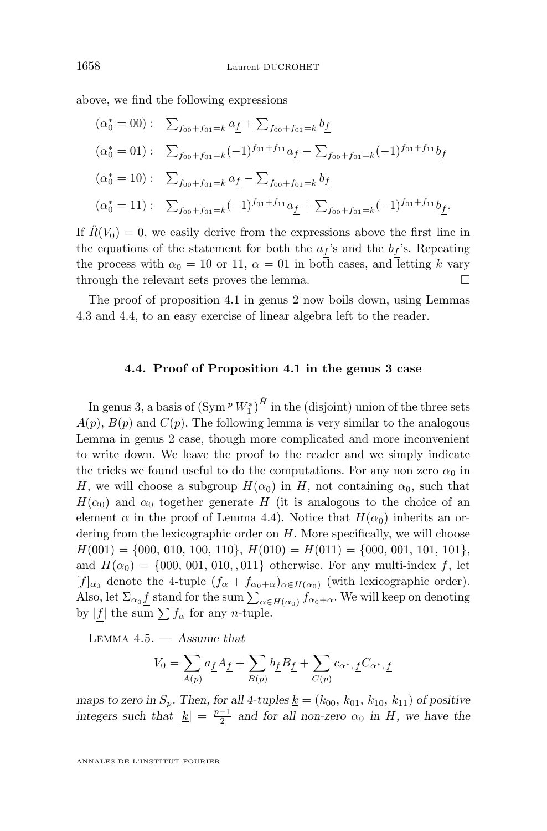<span id="page-18-0"></span>above, we find the following expressions

$$
(\alpha_0^* = 00) : \sum_{f_{00}+f_{01}=k} a_{\underline{f}} + \sum_{f_{00}+f_{01}=k} b_{\underline{f}}
$$
  
\n
$$
(\alpha_0^* = 01) : \sum_{f_{00}+f_{01}=k} (-1)^{f_{01}+f_{11}} a_{\underline{f}} - \sum_{f_{00}+f_{01}=k} (-1)^{f_{01}+f_{11}} b_{\underline{f}}
$$
  
\n
$$
(\alpha_0^* = 10) : \sum_{f_{00}+f_{01}=k} a_{\underline{f}} - \sum_{f_{00}+f_{01}=k} b_{\underline{f}}
$$
  
\n
$$
(\alpha_0^* = 11) : \sum_{f_{00}+f_{01}=k} (-1)^{f_{01}+f_{11}} a_{\underline{f}} + \sum_{f_{00}+f_{01}=k} (-1)^{f_{01}+f_{11}} b_{\underline{f}}.
$$

If  $\hat{R}(V_0) = 0$ , we easily derive from the expressions above the first line in the equations of the statement for both the  $a_f$ 's and the  $b_f$ 's. Repeating the process with  $\alpha_0 = 10$  or 11,  $\alpha = 01$  in both cases, and letting k vary through the relevant sets proves the lemma.

The proof of proposition [4.1](#page-15-0) in genus 2 now boils down, using Lemmas [4.3](#page-16-0) and [4.4,](#page-16-0) to an easy exercise of linear algebra left to the reader.

#### **4.4. Proof of Proposition [4.1](#page-15-0) in the genus 3 case**

In genus 3, a basis of  $(\text{Sym} \,^p W_1^*)^{\hat{H}}$  in the (disjoint) union of the three sets  $A(p)$ ,  $B(p)$  and  $C(p)$ . The following lemma is very similar to the analogous Lemma in genus 2 case, though more complicated and more inconvenient to write down. We leave the proof to the reader and we simply indicate the tricks we found useful to do the computations. For any non zero  $\alpha_0$  in H, we will choose a subgroup  $H(\alpha_0)$  in H, not containing  $\alpha_0$ , such that  $H(\alpha_0)$  and  $\alpha_0$  together generate H (it is analogous to the choice of an element  $\alpha$  in the proof of Lemma [4.4\)](#page-16-0). Notice that  $H(\alpha_0)$  inherits an ordering from the lexicographic order on H. More specifically, we will choose  $H(001) = \{000, 010, 100, 110\}, H(010) = H(011) = \{000, 001, 101, 101\},$ and  $H(\alpha_0) = \{000, 001, 010, 011\}$  otherwise. For any multi-index f, let  $[f]_{\alpha_0}$  denote the 4-tuple  $(f_{\alpha} + f_{\alpha_0+\alpha})_{\alpha \in H(\alpha_0)}$  (with lexicographic order). Also, let  $\Sigma_{\alpha_0} \underline{f}$  stand for the sum  $\sum_{\alpha \in H(\alpha_0)} f_{\alpha_0 + \alpha}$ . We will keep on denoting by |f| the sum  $\sum f_\alpha$  for any *n*-tuple.

Lemma 4.5. — *Assume that*

$$
V_0 = \sum_{A(p)} a_{\underline{f}} A_{\underline{f}} + \sum_{B(p)} b_{\underline{f}} B_{\underline{f}} + \sum_{C(p)} c_{\alpha^*, \, \underline{f}} C_{\alpha^*, \, \underline{f}}
$$

*maps to zero in*  $S_p$ *. Then, for all 4-tuples*  $\underline{k} = (k_{00}, k_{01}, k_{10}, k_{11})$  *of positive integers such that*  $|\underline{k}| = \frac{p-1}{2}$  *and for all non-zero*  $\alpha_0$  *in H*, we have the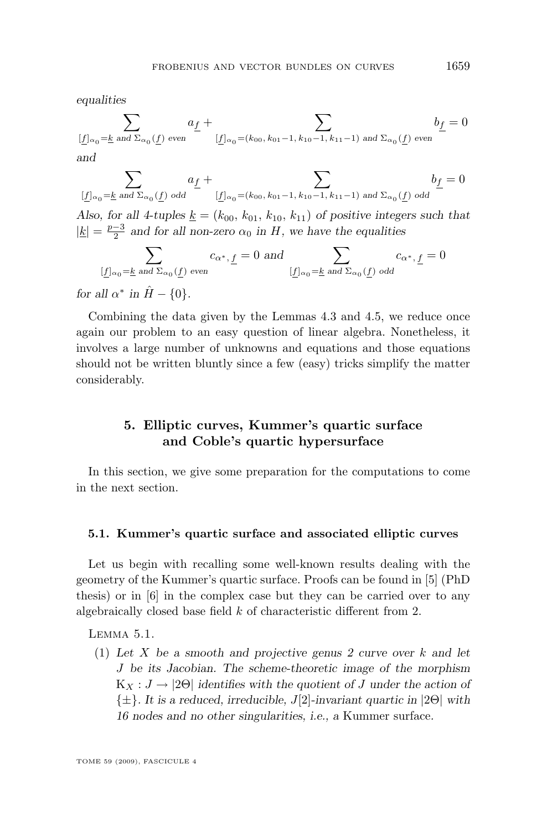<span id="page-19-0"></span>*equalities*

$$
\sum_{[\underline{f}]_{\alpha_0}=\underline{k} \text{ and } \Sigma_{\alpha_0}(\underline{f}) \text{ even}}a_{\underline{f}} + \sum_{[\underline{f}]_{\alpha_0}=(k_{00},\,k_{01}-1,\,k_{10}-1,\,k_{11}-1) \text{ and } \Sigma_{\alpha_0}(\underline{f}) \text{ even}}b_{\underline{f}} = 0
$$
 and

$$
\sum_{[\underline{f}]_{\alpha_0}=\underline{k} \text{ and } \Sigma_{\alpha_0}(\underline{f}) \text{ odd}} a_{\underline{f}} + \sum_{[\underline{f}]_{\alpha_0}=(k_{00}, k_{01}-1, k_{10}-1, k_{11}-1) \text{ and } \Sigma_{\alpha_0}(\underline{f}) \text{ odd}} b_{\underline{f}} = 0
$$

Also, for all 4-tuples  $\underline{k} = (k_{00}, k_{01}, k_{10}, k_{11})$  *of positive integers such that*  $|\underline{k}| = \frac{p-3}{2}$  and for all non-zero  $\alpha_0$  in H, we have the equalities

$$
\sum_{[\underline{f}]_{\alpha_0}=\underline{k} \text{ and } \Sigma_{\alpha_0}(\underline{f}) \text{ even}} c_{\alpha^*,\,\underline{f}}=0 \text{ and } \sum_{[\underline{f}]_{\alpha_0}=\underline{k} \text{ and } \Sigma_{\alpha_0}(\underline{f}) \text{ odd}} c_{\alpha^*,\,\underline{f}}=0
$$

*for all*  $\alpha^*$  *in*  $\hat{H} - \{0\}$ *.* 

Combining the data given by the Lemmas [4.3](#page-16-0) and [4.5,](#page-18-0) we reduce once again our problem to an easy question of linear algebra. Nonetheless, it involves a large number of unknowns and equations and those equations should not be written bluntly since a few (easy) tricks simplify the matter considerably.

#### **5. Elliptic curves, Kummer's quartic surface and Coble's quartic hypersurface**

In this section, we give some preparation for the computations to come in the next section.

#### **5.1. Kummer's quartic surface and associated elliptic curves**

Let us begin with recalling some well-known results dealing with the geometry of the Kummer's quartic surface. Proofs can be found in [\[5\]](#page-28-0) (PhD thesis) or in [\[6\]](#page-28-0) in the complex case but they can be carried over to any algebraically closed base field k of characteristic different from 2.

Lemma 5.1.

(1) *Let* X *be a smooth and projective genus 2 curve over* k *and let* J *be its Jacobian. The scheme-theoretic image of the morphism*  $K_X : J \to 2\Theta$  *identifies with the quotient of* J *under the action of* {±}*. It is a reduced, irreducible,* J[2]*-invariant quartic in* |2Θ| *with 16 nodes and no other singularities, i.e., a* Kummer surface*.*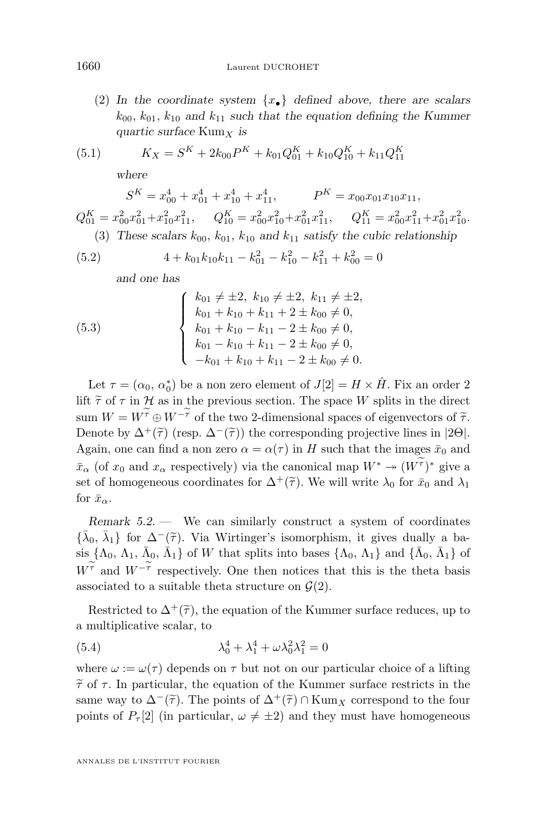<span id="page-20-0"></span>(2) In the coordinate system  $\{x_{\bullet}\}\$  defined above, there are scalars  $k_{00}$ ,  $k_{01}$ ,  $k_{10}$  and  $k_{11}$  such that the equation defining the Kummer *quartic surface* Kum<sub>X</sub> *is* 

(5.1) 
$$
K_X = S^K + 2k_{00}P^K + k_{01}Q_{01}^K + k_{10}Q_{10}^K + k_{11}Q_{11}^K
$$

*where*

$$
S^K = x_{00}^4 + x_{01}^4 + x_{10}^4 + x_{11}^4, \qquad P^K = x_{00}x_{01}x_{10}x_{11},
$$
  
\n
$$
Q_{01}^K = x_{00}^2x_{01}^2 + x_{10}^2x_{11}^2, \qquad Q_{10}^K = x_{00}^2x_{10}^2 + x_{01}^2x_{11}^2, \qquad Q_{11}^K = x_{00}^2x_{11}^2 + x_{01}^2x_{10}^2.
$$
  
\n(3) These scalars  $k_{00}$ ,  $k_{01}$ ,  $k_{10}$  and  $k_{11}$  satisfy the cubic relationship

(5.2) 
$$
4 + k_{01}k_{10}k_{11} - k_{01}^2 - k_{10}^2 - k_{11}^2 + k_{00}^2 = 0
$$

*and one has*

(5.3) 
$$
\begin{cases} k_{01} \neq \pm 2, \ k_{10} \neq \pm 2, \ k_{11} \neq \pm 2, \\ k_{01} + k_{10} + k_{11} + 2 \pm k_{00} \neq 0, \\ k_{01} + k_{10} - k_{11} - 2 \pm k_{00} \neq 0, \\ k_{01} - k_{10} + k_{11} - 2 \pm k_{00} \neq 0, \\ -k_{01} + k_{10} + k_{11} - 2 \pm k_{00} \neq 0. \end{cases}
$$

Let  $\tau = (\alpha_0, \alpha_0^*)$  be a non zero element of  $J[2] = H \times \hat{H}$ . Fix an order 2 lift  $\tilde{\tau}$  of  $\tau$  in  $\mathcal H$  as in the previous section. The space W splits in the direct sum  $W = W^{\widetilde{\tau}} \oplus W^{-\widetilde{\tau}}$  of the two 2-dimensional spaces of eigenvectors of  $\widetilde{\tau}$ . Denote by  $\Delta^+(\tilde{\tau})$  (resp.  $\Delta^-(\tilde{\tau})$ ) the corresponding projective lines in |2Θ|. Again, one can find a non zero  $\alpha = \alpha(\tau)$  in H such that the images  $\bar{x}_0$  and  $\bar{x}_{\alpha}$  (of  $x_0$  and  $x_{\alpha}$  respectively) via the canonical map  $W^* \to (W^{\tau})^*$  give a set of homogeneous coordinates for  $\Delta^+(\tilde{\tau})$ . We will write  $\lambda_0$  for  $\bar{x}_0$  and  $\lambda_1$ for  $\bar{x}_{\alpha}$ .

*Remark 5.2. —* We can similarly construct a system of coordinates  ${\bar{\lambda}_0, \bar{\lambda}_1}$  for  $\Delta^-(\tilde{\tau})$ . Via Wirtinger's isomorphism, it gives dually a ba-<br>sin  $\Delta = \bar{\lambda}$ ,  $\Delta = \bar{\lambda}$ ,  $\Delta^+$  and  $\Delta^-$  and  $\Delta^-$  and  $\Delta^-$  and  $\Delta^$ sis  $\{\Lambda_0, \Lambda_1, \bar{\Lambda}_0, \bar{\Lambda}_1\}$  of W that splits into bases  $\{\Lambda_0, \Lambda_1\}$  and  $\{\bar{\Lambda}_0, \bar{\Lambda}_1\}$  of  $W^{\tau}$  and  $W^{-\tau}$  respectively. One then notices that this is the theta basis associated to a suitable theta structure on  $\mathcal{G}(2)$ .

Restricted to  $\Delta^+(\tilde{\tau})$ , the equation of the Kummer surface reduces, up to a multiplicative scalar, to

(5.4) 
$$
\lambda_0^4 + \lambda_1^4 + \omega \lambda_0^2 \lambda_1^2 = 0
$$

where  $\omega := \omega(\tau)$  depends on  $\tau$  but not on our particular choice of a lifting  $\tilde{\tau}$  of  $\tau$ . In particular, the equation of the Kummer surface restricts in the same way to  $\Delta^{-}(\tilde{\tau})$ . The points of  $\Delta^{+}(\tilde{\tau}) \cap \text{Kum}_X$  correspond to the four points of  $P_{\tau}[2]$  (in particular,  $\omega \neq \pm 2$ ) and they must have homogeneous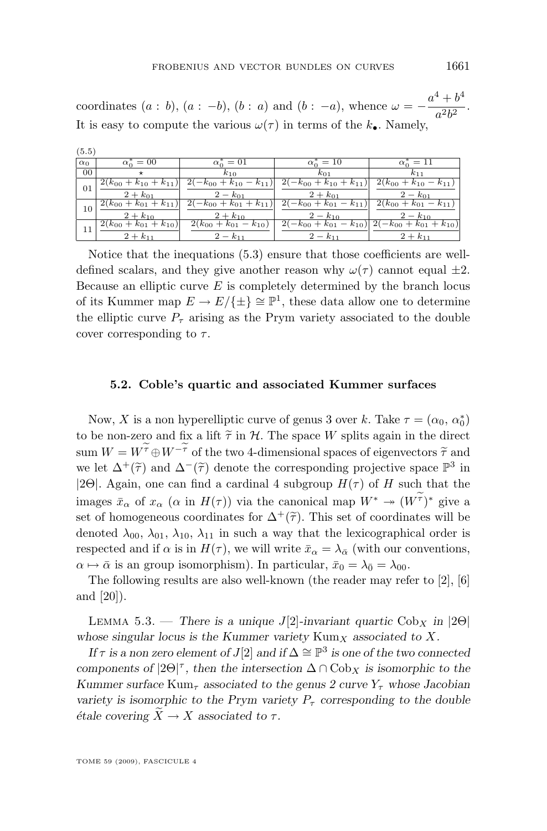<span id="page-21-0"></span>coordinates  $(a : b)$ ,  $(a : -b)$ ,  $(b : a)$  and  $(b : -a)$ , whence  $\omega = -\frac{a^4 + b^4}{a^2b^2}$  $\frac{1}{a^2b^2}$ . It is easy to compute the various  $\omega(\tau)$  in terms of the  $k_{\bullet}$ . Namely,

| (5.5)      |                               |                               |                                     |                                                              |
|------------|-------------------------------|-------------------------------|-------------------------------------|--------------------------------------------------------------|
| $\alpha_0$ | $\alpha_0^* = 00$             | $\alpha_0^* = 01$             | $\alpha_0^* = 10$                   | $\alpha_0^* = 11$                                            |
| $00\,$     | $^\star$                      | $k_{10}$                      | $k_{01}$                            | $k_{11}$                                                     |
| 01         | $2(k_{00} + k_{10} + k_{11})$ | $-k_{00} + k_{10} - k_{11}$   | $k_0 + k_{10} + k_{11}$             | $2(k_{00} + k_{10} - k_{11})$                                |
|            | $2 + k_{01}$                  | $2 - k_{01}$                  | $2 + k_{01}$                        | $2 - k_{01}$                                                 |
| 10         | $2(k_{00} + k_{01} + k_{11})$ | $-k_{00} + k_{01} + k_{11}$   | $2(-k_{00}+k_{01})$<br>$- k_{11}$ ) | $2(k_{00} + k_{01} - k_{11})$                                |
|            | $2 + k_{10}$                  | $2 + k_{10}$                  | $2 - k_{10}$                        | $2 - k_{10}$                                                 |
|            | $2(k_{00}+k_{01}+k_{10})$     | $2(k_{00} + k_{01} - k_{10})$ |                                     | $(-k_{00} + k_{01} - k_{10})$ $2(-k_{00} + k_{01} + k_{10})$ |
|            | $2 + k_{11}$                  | $2 - k_{11}$                  | $2 - k_{11}$                        | $2 + k_{11}$                                                 |

Notice that the inequations [\(5.3\)](#page-20-0) ensure that those coefficients are welldefined scalars, and they give another reason why  $\omega(\tau)$  cannot equal  $\pm 2$ . Because an elliptic curve  $E$  is completely determined by the branch locus of its Kummer map  $E \to E/\{\pm\} \cong \mathbb{P}^1$ , these data allow one to determine the elliptic curve  $P_{\tau}$  arising as the Prym variety associated to the double cover corresponding to  $\tau$ .

#### **5.2. Coble's quartic and associated Kummer surfaces**

Now, X is a non hyperelliptic curve of genus 3 over k. Take  $\tau = (\alpha_0, \alpha_0^*)$ to be non-zero and fix a lift  $\tilde{\tau}$  in  $\mathcal{H}$ . The space W splits again in the direct sum  $W = W^{\widetilde{\tau}} \oplus W^{-\widetilde{\tau}}$  of the two 4-dimensional spaces of eigenvectors  $\widetilde{\tau}$  and we let  $\Delta^+(\tilde{\tau})$  and  $\Delta^-(\tilde{\tau})$  denote the corresponding projective space  $\mathbb{P}^3$  in |2Θ|. Again, one can find a cardinal 4 subgroup  $H(\tau)$  of H such that the images  $\bar{x}_{\alpha}$  of  $x_{\alpha}$  ( $\alpha$  in  $H(\tau)$ ) via the canonical map  $W^* \to (W^{\tau})^*$  give a set of homogeneous coordinates for  $\Delta^+(\tilde{\tau})$ . This set of coordinates will be denoted  $\lambda_{00}$ ,  $\lambda_{01}$ ,  $\lambda_{10}$ ,  $\lambda_{11}$  in such a way that the lexicographical order is respected and if  $\alpha$  is in  $H(\tau)$ , we will write  $\bar{x}_{\alpha} = \lambda_{\bar{\alpha}}$  (with our conventions,  $\alpha \mapsto \bar{\alpha}$  is an group isomorphism). In particular,  $\bar{x}_0 = \lambda_{\bar{0}} = \lambda_{00}$ .

The following results are also well-known (the reader may refer to [\[2\]](#page-28-0), [\[6\]](#page-28-0) and [\[20\]](#page-29-0)).

LEMMA 5.3. — *There is a unique J*[2]-invariant quartic  $Cob_X$  *in* |2 $\Theta$ | *whose singular locus is the Kummer variety*  $Kum_X$  *associated to* X.

*If*  $\tau$  *is a non zero element of*  $J[2]$  *and if*  $\Delta \cong \mathbb{P}^3$  *is one of the two connected components of*  $|2\Theta|^{\tau}$ , then the intersection  $\Delta \cap \text{Cob}_X$  *is isomorphic to the Kummer surface*  $Kum_\tau$  *associated to the genus 2 curve*  $Y_\tau$  *whose Jacobian variety is isomorphic to the Prym variety*  $P_{\tau}$  *corresponding to the double étale covering*  $\ddot{X} \rightarrow X$  *associated to*  $\tau$ *.*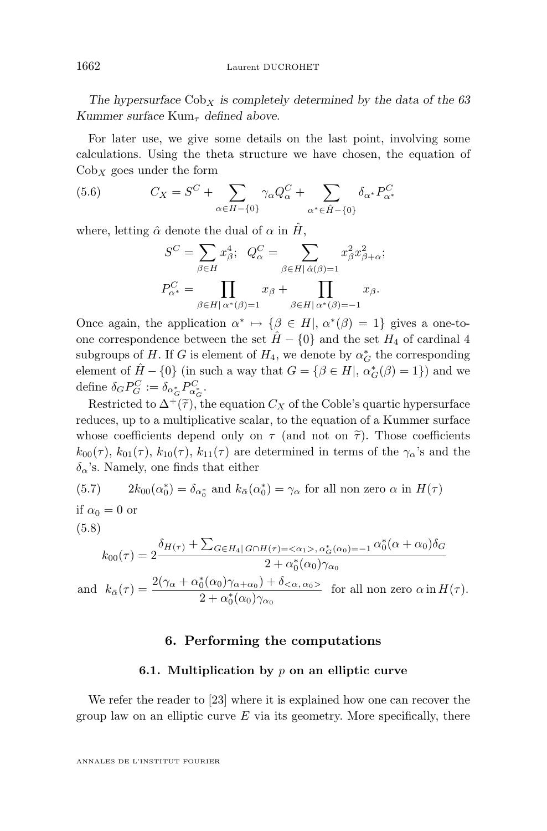<span id="page-22-0"></span>The hypersurface  $Cob_X$  *is completely determined by the data of the 63 Kummer surface*  $Kum_\tau$  *defined above.* 

For later use, we give some details on the last point, involving some calculations. Using the theta structure we have chosen, the equation of  $Cob_X$  goes under the form

(5.6) 
$$
C_X = S^C + \sum_{\alpha \in H - \{0\}} \gamma_\alpha Q_\alpha^C + \sum_{\alpha^* \in \hat{H} - \{0\}} \delta_{\alpha^*} P_{\alpha^*}^C
$$

where, letting  $\hat{\alpha}$  denote the dual of  $\alpha$  in  $\hat{H}$ ,

$$
S^C = \sum_{\beta \in H} x_{\beta}^4; \quad Q_{\alpha}^C = \sum_{\beta \in H | \hat{\alpha}(\beta) = 1} x_{\beta}^2 x_{\beta + \alpha}^2;
$$

$$
P_{\alpha^*}^C = \prod_{\beta \in H | \alpha^*(\beta) = 1} x_{\beta} + \prod_{\beta \in H | \alpha^*(\beta) = -1} x_{\beta}.
$$

Once again, the application  $\alpha^* \mapsto {\beta \in H}$ ,  $\alpha^*(\beta) = 1$  gives a one-toone correspondence between the set  $\hat{H} - \{0\}$  and the set  $H_4$  of cardinal 4 subgroups of H. If G is element of  $H_4$ , we denote by  $\alpha_G^*$  the corresponding element of  $\hat{H} - \{0\}$  (in such a way that  $G = \{ \beta \in H, \alpha_G^*(\beta) = 1 \}$ ) and we define  $\delta_G P_G^C := \delta_{\alpha_G^*} P_{\alpha_G^*}^C$ .

Restricted to  $\Delta^+(\tilde{\tau})$ , the equation  $C_X$  of the Coble's quartic hypersurface reduces, up to a multiplicative scalar, to the equation of a Kummer surface whose coefficients depend only on  $\tau$  (and not on  $\tilde{\tau}$ ). Those coefficients  $k_{00}(\tau)$ ,  $k_{01}(\tau)$ ,  $k_{10}(\tau)$ ,  $k_{11}(\tau)$  are determined in terms of the  $\gamma_{\alpha}$ 's and the  $\delta_{\alpha}$ 's. Namely, one finds that either

(5.7) 
$$
2k_{00}(\alpha_0^*) = \delta_{\alpha_0^*} \text{ and } k_{\bar{\alpha}}(\alpha_0^*) = \gamma_\alpha \text{ for all non zero } \alpha \text{ in } H(\tau)
$$

if 
$$
\alpha_0 = 0
$$
 or  
(5.8)

$$
k_{00}(\tau) = 2 \frac{\delta_{H(\tau)} + \sum_{G \in H_4} \sum_{G \cap H(\tau) = \langle \alpha_1 \rangle, \alpha_G^*(\alpha_0) = -1} \alpha_0^*(\alpha + \alpha_0) \delta_G}{2 + \alpha_0^*(\alpha_0) \gamma_{\alpha_0}}
$$
  
and 
$$
k_{\bar{\alpha}}(\tau) = \frac{2(\gamma_{\alpha} + \alpha_0^*(\alpha_0) \gamma_{\alpha + \alpha_0}) + \delta_{\langle \alpha, \alpha_0 \rangle}}{2 + \alpha_0^*(\alpha_0) \gamma_{\alpha_0}}
$$
 for all non zero  $\alpha$  in  $H(\tau)$ .

#### **6. Performing the computations**

#### **6.1. Multiplication by** p **on an elliptic curve**

We refer the reader to [\[23\]](#page-29-0) where it is explained how one can recover the group law on an elliptic curve  $E$  via its geometry. More specifically, there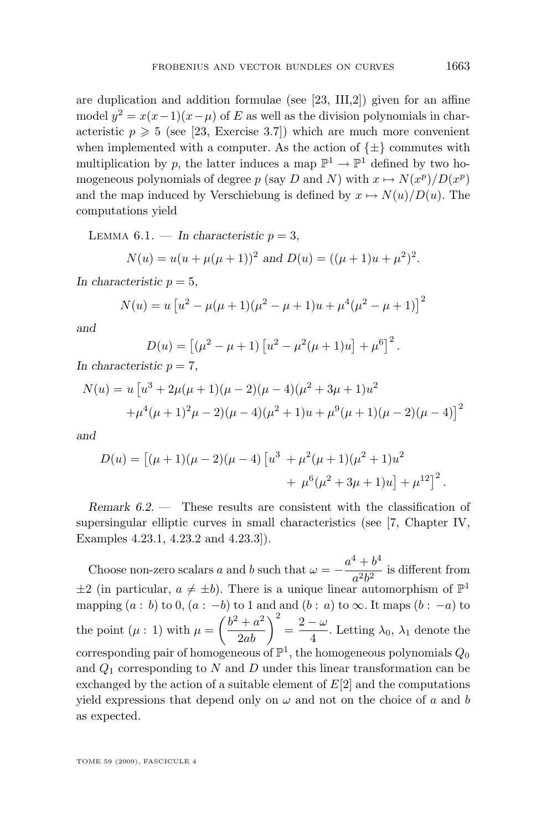<span id="page-23-0"></span>are duplication and addition formulae (see [\[23,](#page-29-0) III,2]) given for an affine model  $y^2 = x(x-1)(x-\mu)$  of E as well as the division polynomials in characteristic  $p \geqslant 5$  (see [\[23,](#page-29-0) Exercise 3.7]) which are much more convenient when implemented with a computer. As the action of  $\{\pm\}$  commutes with multiplication by p, the latter induces a map  $\mathbb{P}^1 \to \mathbb{P}^1$  defined by two homogeneous polynomials of degree p (say D and N) with  $x \mapsto N(x^p)/D(x^p)$ and the map induced by Verschiebung is defined by  $x \mapsto N(u)/D(u)$ . The computations yield

LEMMA  $6.1.$  — *In characteristic*  $p = 3$ ,

$$
N(u) = u(u + \mu(\mu + 1))^2
$$
 and  $D(u) = ((\mu + 1)u + \mu^2)^2$ .

In characteristic  $p = 5$ ,

$$
N(u) = u [u2 - \mu(\mu + 1)(\mu2 - \mu + 1)u + \mu4(\mu2 - \mu + 1)]2
$$

*and*

$$
D(u) = [(\mu^{2} - \mu + 1) [u^{2} - \mu^{2}(\mu + 1)u] + \mu^{6}]^{2}.
$$

In characteristic  $p = 7$ ,

$$
N(u) = u \left[ u^3 + 2\mu(\mu + 1)(\mu - 2)(\mu - 4)(\mu^2 + 3\mu + 1)u^2 + \mu^4(\mu + 1)^2\mu - 2((\mu - 4)(\mu^2 + 1)u + \mu^9(\mu + 1)(\mu - 2)(\mu - 4)) \right]^2
$$

*and*

$$
D(u) = [(\mu + 1)(\mu - 2)(\mu - 4)]u^3 + \mu^2(\mu + 1)(\mu^2 + 1)u^2
$$
  
+ 
$$
\mu^6(\mu^2 + 3\mu + 1)u] + \mu^{12}]^2.
$$

*Remark 6.2. —* These results are consistent with the classification of supersingular elliptic curves in small characteristics (see [\[7,](#page-28-0) Chapter IV, Examples 4.23.1, 4.23.2 and 4.23.3]).

Choose non-zero scalars a and b such that  $\omega = -\frac{a^4 + b^4}{2l^2}$  $\frac{a^2b^2}{a^2b^2}$  is different from  $\pm 2$  (in particular,  $a \neq \pm b$ ). There is a unique linear automorphism of  $\mathbb{P}^1$ mapping  $(a : b)$  to 0,  $(a : -b)$  to 1 and and  $(b : a)$  to  $\infty$ . It maps  $(b : -a)$  to the point  $(\mu : 1)$  with  $\mu = \left(\frac{b^2 + a^2}{2ab}\right)^2 = \frac{2 - \omega}{4}$  $\frac{a}{4}$ . Letting  $\lambda_0$ ,  $\lambda_1$  denote the corresponding pair of homogeneous of  $\mathbb{P}^1$ , the homogeneous polynomials  $Q_0$ and  $Q_1$  corresponding to N and D under this linear transformation can be exchanged by the action of a suitable element of  $E[2]$  and the computations yield expressions that depend only on  $\omega$  and not on the choice of a and b as expected.

TOME 59 (2009), FASCICULE 4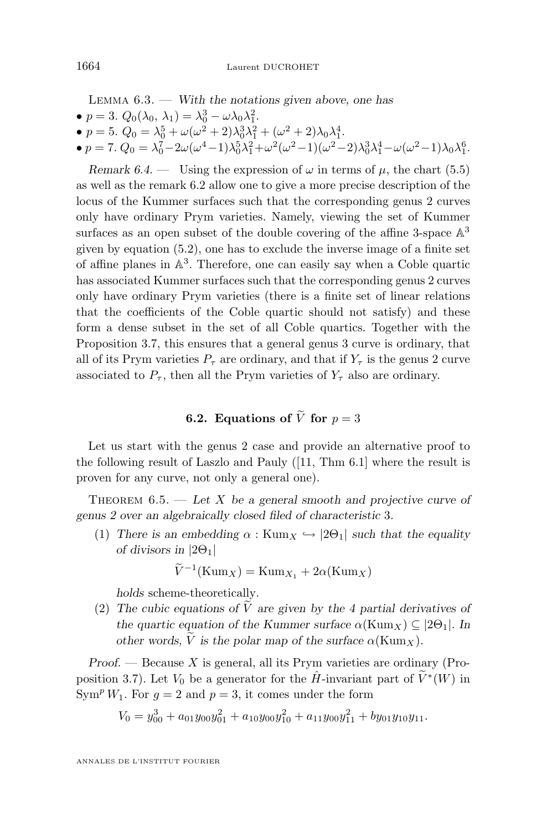<span id="page-24-0"></span>Lemma 6.3. — *With the notations given above, one has*

- $p = 3$ .  $Q_0(\lambda_0, \lambda_1) = \lambda_0^3 \omega \lambda_0 \lambda_1^2$ .
- $p = 5$ .  $Q_0 = \lambda_0^5 + \omega(\omega^2 + 2)\lambda_0^3\lambda_1^2 + (\omega^2 + 2)\lambda_0\lambda_1^4$ .
- $p = 7$ .  $Q_0 = \lambda_0^7 2\omega(\omega^4 1)\lambda_0^5 \lambda_1^2 + \omega^2(\omega^2 1)(\omega^2 2)\lambda_0^3 \lambda_1^4 \omega(\omega^2 1)\lambda_0 \lambda_1^6$ .

*Remark 6.4.* — Using the expression of  $\omega$  in terms of  $\mu$ , the chart [\(5.5\)](#page-21-0) as well as the remark [6.2](#page-23-0) allow one to give a more precise description of the locus of the Kummer surfaces such that the corresponding genus 2 curves only have ordinary Prym varieties. Namely, viewing the set of Kummer surfaces as an open subset of the double covering of the affine 3-space  $\mathbb{A}^3$ given by equation [\(5.2\)](#page-20-0), one has to exclude the inverse image of a finite set of affine planes in A 3 . Therefore, one can easily say when a Coble quartic has associated Kummer surfaces such that the corresponding genus 2 curves only have ordinary Prym varieties (there is a finite set of linear relations that the coefficients of the Coble quartic should not satisfy) and these form a dense subset in the set of all Coble quartics. Together with the Proposition [3.7,](#page-13-0) this ensures that a general genus 3 curve is ordinary, that all of its Prym varieties  $P_{\tau}$  are ordinary, and that if  $Y_{\tau}$  is the genus 2 curve associated to  $P_{\tau}$ , then all the Prym varieties of  $Y_{\tau}$  also are ordinary.

### **6.2. Equations of**  $\tilde{V}$  for  $p = 3$

Let us start with the genus 2 case and provide an alternative proof to the following result of Laszlo and Pauly ([\[11,](#page-28-0) Thm 6.1] where the result is proven for any curve, not only a general one).

Theorem 6.5. — *Let* X *be a general smooth and projective curve of genus 2 over an algebraically closed filed of characteristic* 3*.*

(1) *There is an embedding*  $\alpha$  : Kum<sub>X</sub>  $\hookrightarrow$  [2 $\Theta$ <sub>1</sub>] *such that the equality of divisors in* |2Θ1|

$$
\widetilde{V}^{-1}(\operatorname{Kum}_X) = \operatorname{Kum}_{X_1} + 2\alpha(\operatorname{Kum}_X)
$$

*holds* scheme-theoretically*.*

(2) The cubic equations of  $\tilde{V}$  are given by the 4 partial derivatives of *the quartic equation of the Kummer surface*  $\alpha$ (Kum<sub>X</sub>)  $\subseteq$  [2 $\Theta$ <sub>1</sub>]. In *other words, V is the polar map of the surface*  $\alpha$ (Kum<sub>x</sub>).

*Proof.* — Because X is general, all its Prym varieties are ordinary (Pro-position [3.7\)](#page-13-0). Let  $V_0$  be a generator for the  $\hat{H}$ -invariant part of  $\tilde{V}^*(W)$  in  $\text{Sym}^p W_1$ . For  $q = 2$  and  $p = 3$ , it comes under the form

$$
V_0 = y_{00}^3 + a_{01}y_{00}y_{01}^2 + a_{10}y_{00}y_{10}^2 + a_{11}y_{00}y_{11}^2 + by_{01}y_{10}y_{11}.
$$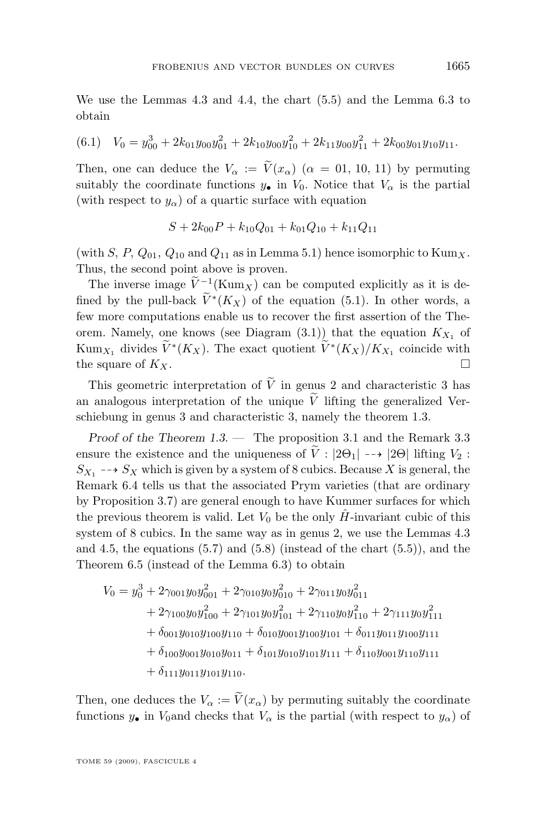We use the Lemmas [4.3](#page-16-0) and [4.4,](#page-16-0) the chart [\(5.5\)](#page-21-0) and the Lemma [6.3](#page-23-0) to obtain

$$
(6.1) \quad V_0 = y_{00}^3 + 2k_{01}y_{00}y_{01}^2 + 2k_{10}y_{00}y_{10}^2 + 2k_{11}y_{00}y_{11}^2 + 2k_{00}y_{01}y_{10}y_{11}.
$$

Then, one can deduce the  $V_{\alpha} := \tilde{V}(x_{\alpha})$  ( $\alpha = 0.1, 10, 11$ ) by permuting suitably the coordinate functions  $y_{\bullet}$  in  $V_0$ . Notice that  $V_{\alpha}$  is the partial (with respect to  $y_\alpha$ ) of a quartic surface with equation

$$
S+2k_{00}P+k_{10}Q_{01}+k_{01}Q_{10}+k_{11}Q_{11}
$$

(with S, P,  $Q_{01}$ ,  $Q_{10}$  and  $Q_{11}$  as in Lemma [5.1\)](#page-19-0) hence isomorphic to  $\text{Kum}_X$ . Thus, the second point above is proven.

The inverse image  $V^{-1}(\text{Kum}_X)$  can be computed explicitly as it is defined by the pull-back  $\tilde{V}^*(K_X)$  of the equation [\(5.1\)](#page-20-0). In other words, a few more computations enable us to recover the first assertion of the Theorem. Namely, one knows (see Diagram  $(3.1)$ ) that the equation  $K_{X_1}$  of Kum<sub>X<sub>1</sub></sub> divides  $V^*(K_X)$ . The exact quotient  $V^*(K_X)/K_{X_1}$  coincide with the square of  $K_X$ .

This geometric interpretation of  $\tilde{V}$  in genus 2 and characteristic 3 has an analogous interpretation of the unique  $\tilde{V}$  lifting the generalized Verschiebung in genus 3 and characteristic 3, namely the theorem [1.3.](#page-4-0)

*Proof of the Theorem [1.3.](#page-4-0) —* The proposition [3.1](#page-9-0) and the Remark [3.3](#page-10-0) ensure the existence and the uniqueness of  $\tilde{V}$  :  $|2\Theta_1| \dashrightarrow |2\Theta|$  lifting  $V_2$  :  $S_{X_1} \dashrightarrow S_X$  which is given by a system of 8 cubics. Because X is general, the Remark [6.4](#page-24-0) tells us that the associated Prym varieties (that are ordinary by Proposition [3.7\)](#page-13-0) are general enough to have Kummer surfaces for which the previous theorem is valid. Let  $V_0$  be the only  $\hat{H}$ -invariant cubic of this system of 8 cubics. In the same way as in genus 2, we use the Lemmas [4.3](#page-16-0) and [4.5,](#page-18-0) the equations  $(5.7)$  and  $(5.8)$  (instead of the chart  $(5.5)$ ), and the Theorem [6.5](#page-24-0) (instead of the Lemma [6.3\)](#page-23-0) to obtain

$$
V_0 = y_0^3 + 2\gamma_{001}y_0y_{001}^2 + 2\gamma_{010}y_0y_{010}^2 + 2\gamma_{011}y_0y_{011}^2
$$
  
+ 2 $\gamma_{100}y_0y_{100}^2 + 2\gamma_{101}y_0y_{101}^2 + 2\gamma_{110}y_0y_{110}^2 + 2\gamma_{111}y_0y_{111}^2$   
+  $\delta_{001}y_{010}y_{100}y_{110} + \delta_{010}y_{001}y_{100}y_{101} + \delta_{011}y_{011}y_{100}y_{111}$   
+  $\delta_{100}y_{001}y_{010}y_{011} + \delta_{101}y_{010}y_{101}y_{111} + \delta_{110}y_{001}y_{110}y_{111}$   
+  $\delta_{111}y_{011}y_{101}y_{110}$ .

Then, one deduces the  $V_{\alpha} := \widetilde{V}(x_{\alpha})$  by permuting suitably the coordinate functions  $y_{\bullet}$  in  $V_0$  and checks that  $V_{\alpha}$  is the partial (with respect to  $y_{\alpha}$ ) of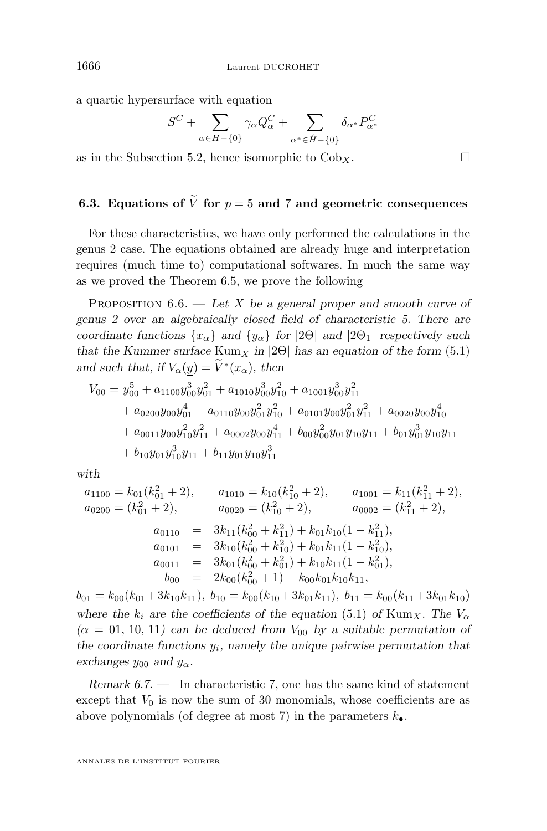a quartic hypersurface with equation

$$
S^C+\sum_{\alpha\in H-\{0\}}\gamma_\alpha Q_\alpha^C+\sum_{\alpha^*\in \hat{H}-\{0\}}\delta_{\alpha^*}P_{\alpha^*}^C
$$

as in the Subsection [5.2,](#page-21-0) hence isomorphic to  $Cob_x$ .

#### **6.3. Equations of**  $\widetilde{V}$  for  $p = 5$  and 7 and geometric consequences

For these characteristics, we have only performed the calculations in the genus 2 case. The equations obtained are already huge and interpretation requires (much time to) computational softwares. In much the same way as we proved the Theorem [6.5,](#page-24-0) we prove the following

Proposition 6.6. — *Let* X *be a general proper and smooth curve of genus 2 over an algebraically closed field of characteristic 5. There are coordinate functions*  $\{x_\alpha\}$  *and*  $\{y_\alpha\}$  *for*  $|2\Theta|$  *and*  $|2\Theta_1|$  *respectively such that the Kummer surface*  $Kum_X$  *in* |2 $\Theta$ | *has an equation of the form* [\(5.1\)](#page-20-0) *and such that, if*  $V_{\alpha}(\underline{y}) = V^*(x_{\alpha})$ , then

$$
V_{00} = y_{00}^{5} + a_{1100}y_{00}^{3}y_{01}^{2} + a_{1010}y_{00}^{3}y_{10}^{2} + a_{1001}y_{00}^{3}y_{11}^{2}
$$
  
+  $a_{0200}y_{00}y_{01}^{4} + a_{0110}y_{00}y_{01}^{2}y_{10}^{2} + a_{0101}y_{00}y_{01}^{2}y_{11}^{2} + a_{0020}y_{00}y_{10}^{4}$   
+  $a_{0011}y_{00}y_{10}^{2}y_{11}^{2} + a_{0002}y_{00}y_{11}^{4} + b_{00}y_{00}^{2}y_{01}y_{10}y_{11} + b_{01}y_{01}^{3}y_{10}y_{11}$   
+  $b_{10}y_{01}y_{10}^{3}y_{11} + b_{11}y_{01}y_{10}y_{11}^{3}$ 

*with*

$$
a_{1100} = k_{01}(k_{01}^2 + 2), \t a_{1010} = k_{10}(k_{10}^2 + 2), \t a_{1001} = k_{11}(k_{11}^2 + 2),
$$
  
\n
$$
a_{0200} = (k_{01}^2 + 2), \t a_{0020} = (k_{10}^2 + 2), \t a_{0002} = (k_{11}^2 + 2),
$$
  
\n
$$
a_{0110} = 3k_{11}(k_{00}^2 + k_{11}^2) + k_{01}k_{10}(1 - k_{11}^2),
$$
  
\n
$$
a_{0101} = 3k_{10}(k_{00}^2 + k_{10}^2) + k_{01}k_{11}(1 - k_{10}^2),
$$
  
\n
$$
a_{0011} = 3k_{01}(k_{00}^2 + k_{01}^2) + k_{10}k_{11}(1 - k_{01}^2),
$$
  
\n
$$
b_{00} = 2k_{00}(k_{00}^2 + 1) - k_{00}k_{01}k_{10}k_{11},
$$

 $b_{01} = k_{00}(k_{01}+3k_{10}k_{11}), b_{10} = k_{00}(k_{10}+3k_{01}k_{11}), b_{11} = k_{00}(k_{11}+3k_{01}k_{10})$ *where the*  $k_i$  *are the coefficients of the equation* [\(5.1\)](#page-20-0) *of* Kum<sub>X</sub>. The  $V_{\alpha}$  $(\alpha = 01, 10, 11)$  can be deduced from  $V_{00}$  by a suitable permutation of *the coordinate functions* y<sup>i</sup> *, namely the unique pairwise permutation that exchanges*  $y_{00}$  *and*  $y_{\alpha}$ *.* 

*Remark 6.7. —* In characteristic 7, one has the same kind of statement except that  $V_0$  is now the sum of 30 monomials, whose coefficients are as above polynomials (of degree at most 7) in the parameters  $k_{\bullet}$ .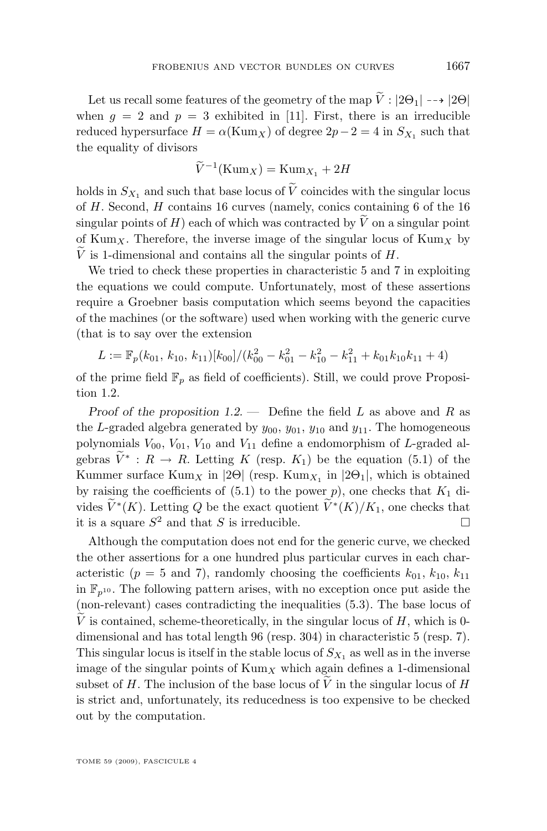Let us recall some features of the geometry of the map  $\tilde{V}: |2\Theta_1| \dashrightarrow |2\Theta|$ when  $g = 2$  and  $p = 3$  exhibited in [\[11\]](#page-28-0). First, there is an irreducible reduced hypersurface  $H = \alpha(\text{Kum}_X)$  of degree  $2p - 2 = 4$  in  $S_{X_1}$  such that the equality of divisors

$$
\widetilde{V}^{-1}(\mathrm{Kum}_X) = \mathrm{Kum}_{X_1} + 2H
$$

holds in  $S_{X_1}$  and such that base locus of  $\tilde{V}$  coincides with the singular locus of H. Second, H contains 16 curves (namely, conics containing 6 of the 16 singular points of H) each of which was contracted by  $\tilde{V}$  on a singular point of Kum<sub>X</sub>. Therefore, the inverse image of the singular locus of Kum<sub>X</sub> by  $\tilde{V}$  is 1-dimensional and contains all the singular points of  $H$ .

We tried to check these properties in characteristic 5 and 7 in exploiting the equations we could compute. Unfortunately, most of these assertions require a Groebner basis computation which seems beyond the capacities of the machines (or the software) used when working with the generic curve (that is to say over the extension

$$
L := \mathbb{F}_p(k_{01}, k_{10}, k_{11})[k_{00}]/(k_{00}^2 - k_{01}^2 - k_{10}^2 - k_{11}^2 + k_{01}k_{10}k_{11} + 4)
$$

of the prime field  $\mathbb{F}_p$  as field of coefficients). Still, we could prove Proposition [1.2.](#page-3-0)

*Proof of the proposition* [1.2.](#page-3-0) — Define the field L as above and R as the L-graded algebra generated by  $y_{00}$ ,  $y_{01}$ ,  $y_{10}$  and  $y_{11}$ . The homogeneous polynomials  $V_{00}$ ,  $V_{01}$ ,  $V_{10}$  and  $V_{11}$  define a endomorphism of L-graded algebras  $V^* : R \to R$ . Letting K (resp.  $K_1$ ) be the equation [\(5.1\)](#page-20-0) of the Kummer surface  $\text{Kum}_X$  in  $|2\Theta|$  (resp.  $\text{Kum}_{X_1}$  in  $|2\Theta_1|$ , which is obtained by raising the coefficients of  $(5.1)$  to the power p), one checks that  $K_1$  divides  $\widetilde{V}^*(K)$ . Letting Q be the exact quotient  $\widetilde{V}^*(K)/K_1$ , one checks that it is a square  $S^2$  and that S is irreducible.

Although the computation does not end for the generic curve, we checked the other assertions for a one hundred plus particular curves in each characteristic ( $p = 5$  and 7), randomly choosing the coefficients  $k_{01}$ ,  $k_{10}$ ,  $k_{11}$ in  $\mathbb{F}_{n^{10}}$ . The following pattern arises, with no exception once put aside the (non-relevant) cases contradicting the inequalities [\(5.3\)](#page-20-0). The base locus of V is contained, scheme-theoretically, in the singular locus of  $H$ , which is 0dimensional and has total length 96 (resp. 304) in characteristic 5 (resp. 7). This singular locus is itself in the stable locus of  $S_{X_1}$  as well as in the inverse image of the singular points of  $\text{Kum}_X$  which again defines a 1-dimensional subset of H. The inclusion of the base locus of V in the singular locus of H is strict and, unfortunately, its reducedness is too expensive to be checked out by the computation.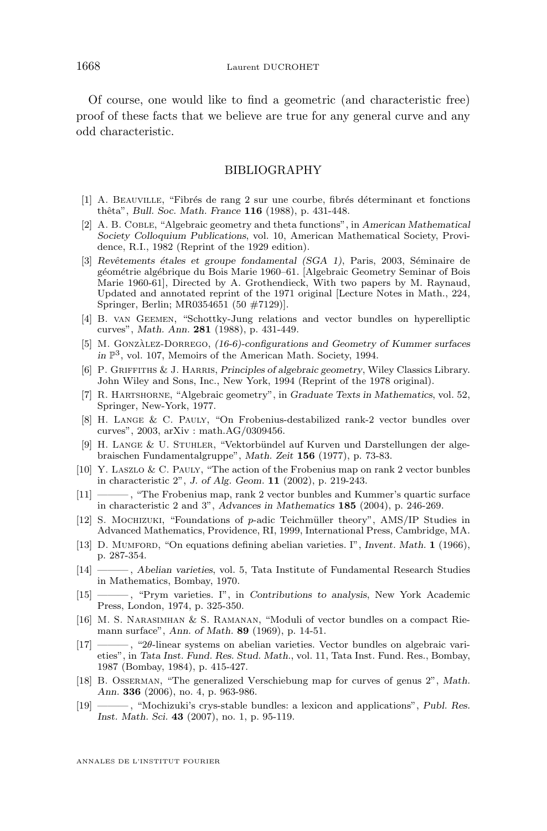<span id="page-28-0"></span>Of course, one would like to find a geometric (and characteristic free) proof of these facts that we believe are true for any general curve and any odd characteristic.

#### BIBLIOGRAPHY

- [1] A. Beauville, "Fibrés de rang 2 sur une courbe, fibrés déterminant et fonctions thêta", *Bull. Soc. Math. France* **116** (1988), p. 431-448.
- [2] A. B. Coble, "Algebraic geometry and theta functions", in *American Mathematical Society Colloquium Publications*, vol. 10, American Mathematical Society, Providence, R.I., 1982 (Reprint of the 1929 edition).
- [3] *Revêtements étales et groupe fondamental (SGA 1)*, Paris, 2003, Séminaire de géométrie algébrique du Bois Marie 1960–61. [Algebraic Geometry Seminar of Bois Marie 1960-61], Directed by A. Grothendieck, With two papers by M. Raynaud, Updated and annotated reprint of the 1971 original [Lecture Notes in Math., 224, Springer, Berlin; MR0354651 (50 #7129)].
- [4] B. van Geemen, "Schottky-Jung relations and vector bundles on hyperelliptic curves", *Math. Ann.* **281** (1988), p. 431-449.
- [5] M. Gonzàlez-Dorrego, *(16-6)-configurations and Geometry of Kummer surfaces* in  $\mathbb{P}^3$ , vol. 107, Memoirs of the American Math. Society, 1994.
- [6] P. Griffiths & J. Harris, *Principles of algebraic geometry*, Wiley Classics Library. John Wiley and Sons, Inc., New York, 1994 (Reprint of the 1978 original).
- [7] R. Hartshorne, "Algebraic geometry", in *Graduate Texts in Mathematics*, vol. 52, Springer, New-York, 1977.
- [8] H. Lange & C. Pauly, "On Frobenius-destabilized rank-2 vector bundles over curves", 2003, arXiv : math.AG/0309456.
- [9] H. Lange & U. Stuhler, "Vektorbündel auf Kurven und Darstellungen der algebraischen Fundamentalgruppe", *Math. Zeit* **156** (1977), p. 73-83.
- [10] Y. Laszlo & C. Pauly, "The action of the Frobenius map on rank 2 vector bunbles in characteristic 2", *J. of Alg. Geom.* **11** (2002), p. 219-243.
- [11] ——— , "The Frobenius map, rank 2 vector bunbles and Kummer's quartic surface in characteristic 2 and 3", *Advances in Mathematics* **185** (2004), p. 246-269.
- [12] S. Mochizuki, "Foundations of p-adic Teichmüller theory", AMS/IP Studies in Advanced Mathematics, Providence, RI, 1999, International Press, Cambridge, MA.
- [13] D. Mumford, "On equations defining abelian varieties. I", *Invent. Math.* **1** (1966), p. 287-354.
- [14] ——— , *Abelian varieties*, vol. 5, Tata Institute of Fundamental Research Studies in Mathematics, Bombay, 1970.
- [15] ——— , "Prym varieties. I", in *Contributions to analysis*, New York Academic Press, London, 1974, p. 325-350.
- [16] M. S. Narasimhan & S. Ramanan, "Moduli of vector bundles on a compact Riemann surface", *Ann. of Math.* **89** (1969), p. 14-51.
- [17] ——— , "2θ-linear systems on abelian varieties. Vector bundles on algebraic varieties", in *Tata Inst. Fund. Res. Stud. Math.*, vol. 11, Tata Inst. Fund. Res., Bombay, 1987 (Bombay, 1984), p. 415-427.
- [18] B. Osserman, "The generalized Verschiebung map for curves of genus 2", *Math. Ann.* **336** (2006), no. 4, p. 963-986.
- [19] ——— , "Mochizuki's crys-stable bundles: a lexicon and applications", *Publ. Res. Inst. Math. Sci.* **43** (2007), no. 1, p. 95-119.